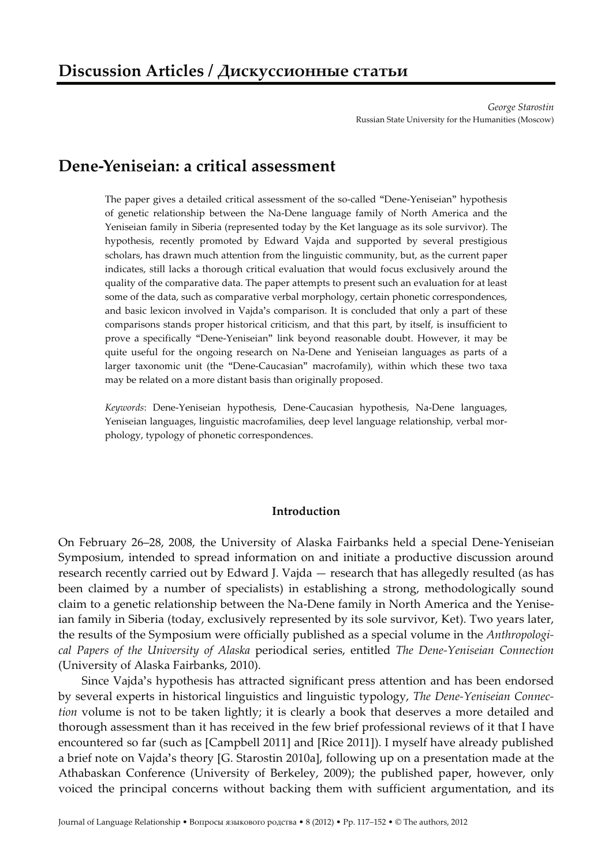George Starostin Russian State University for the Humanities (Moscow)

## Dene-Yeniseian: a critical assessment

The paper gives a detailed critical assessment of the so-called "Dene-Yeniseian" hypothesis of genetic relationship between the Na-Dene language family of North America and the Yeniseian family in Siberia (represented today by the Ket language as its sole survivor). The hypothesis, recently promoted by Edward Vajda and supported by several prestigious scholars, has drawn much attention from the linguistic community, but, as the current paper indicates, still lacks a thorough critical evaluation that would focus exclusively around the quality of the comparative data. The paper attempts to present such an evaluation for at least some of the data, such as comparative verbal morphology, certain phonetic correspondences, and basic lexicon involved in Vajda's comparison. It is concluded that only a part of these comparisons stands proper historical criticism, and that this part, by itself, is insufficient to prove a specifically "Dene-Yeniseian" link beyond reasonable doubt. However, it may be quite useful for the ongoing research on Na-Dene and Yeniseian languages as parts of a larger taxonomic unit (the "Dene-Caucasian" macrofamily), within which these two taxa may be related on a more distant basis than originally proposed.

Keywords: Dene-Yeniseian hypothesis, Dene-Caucasian hypothesis, Na-Dene languages, Yeniseian languages, linguistic macrofamilies, deep level language relationship, verbal morphology, typology of phonetic correspondences.

#### Introduction

On February 26–28, 2008, the University of Alaska Fairbanks held a special Dene-Yeniseian Symposium, intended to spread information on and initiate a productive discussion around research recently carried out by Edward J. Vajda — research that has allegedly resulted (as has been claimed by a number of specialists) in establishing a strong, methodologically sound claim to a genetic relationship between the Na-Dene family in North America and the Yeniseian family in Siberia (today, exclusively represented by its sole survivor, Ket). Two years later, the results of the Symposium were officially published as a special volume in the Anthropological Papers of the University of Alaska periodical series, entitled The Dene-Yeniseian Connection (University of Alaska Fairbanks, 2010).

Since Vajda's hypothesis has attracted significant press attention and has been endorsed by several experts in historical linguistics and linguistic typology, *The Dene-Yeniseian Connec*tion volume is not to be taken lightly; it is clearly a book that deserves a more detailed and thorough assessment than it has received in the few brief professional reviews of it that I have encountered so far (such as [Campbell 2011] and [Rice 2011]). I myself have already published a brief note on Vajda's theory [G. Starostin 2010a], following up on a presentation made at the Athabaskan Conference (University of Berkeley, 2009); the published paper, however, only voiced the principal concerns without backing them with sufficient argumentation, and its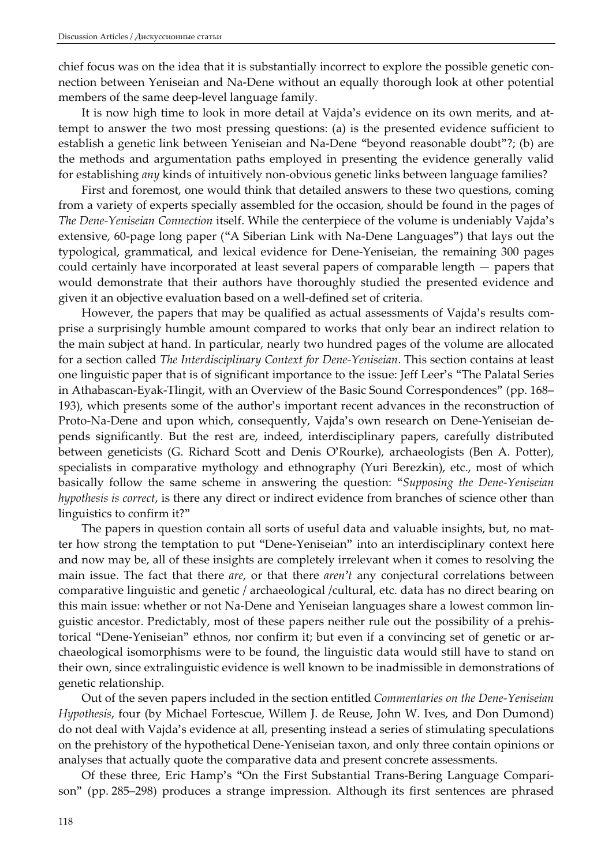chief focus was on the idea that it is substantially incorrect to explore the possible genetic connection between Yeniseian and Na-Dene without an equally thorough look at other potential members of the same deep-level language family.

It is now high time to look in more detail at Vajda's evidence on its own merits, and attempt to answer the two most pressing questions: (a) is the presented evidence sufficient to establish a genetic link between Yeniseian and Na-Dene "beyond reasonable doubt"?; (b) are the methods and argumentation paths employed in presenting the evidence generally valid for establishing any kinds of intuitively non-obvious genetic links between language families?

First and foremost, one would think that detailed answers to these two questions, coming from a variety of experts specially assembled for the occasion, should be found in the pages of The Dene-Yeniseian Connection itself. While the centerpiece of the volume is undeniably Vajda's extensive, 60-page long paper ("A Siberian Link with Na-Dene Languages") that lays out the typological, grammatical, and lexical evidence for Dene-Yeniseian, the remaining 300 pages could certainly have incorporated at least several papers of comparable length — papers that would demonstrate that their authors have thoroughly studied the presented evidence and given it an objective evaluation based on a well-defined set of criteria.

However, the papers that may be qualified as actual assessments of Vajda's results comprise a surprisingly humble amount compared to works that only bear an indirect relation to the main subject at hand. In particular, nearly two hundred pages of the volume are allocated for a section called The Interdisciplinary Context for Dene-Yeniseian. This section contains at least one linguistic paper that is of significant importance to the issue: Jeff Leer's "The Palatal Series in Athabascan-Eyak-Tlingit, with an Overview of the Basic Sound Correspondences" (pp. 168– 193), which presents some of the author's important recent advances in the reconstruction of Proto-Na-Dene and upon which, consequently, Vajda's own research on Dene-Yeniseian depends significantly. But the rest are, indeed, interdisciplinary papers, carefully distributed between geneticists (G. Richard Scott and Denis O'Rourke), archaeologists (Ben A. Potter), specialists in comparative mythology and ethnography (Yuri Berezkin), etc., most of which basically follow the same scheme in answering the question: "Supposing the Dene-Yeniseian hypothesis is correct, is there any direct or indirect evidence from branches of science other than linguistics to confirm it?"

The papers in question contain all sorts of useful data and valuable insights, but, no matter how strong the temptation to put "Dene-Yeniseian" into an interdisciplinary context here and now may be, all of these insights are completely irrelevant when it comes to resolving the main issue. The fact that there are, or that there aren't any conjectural correlations between comparative linguistic and genetic / archaeological /cultural, etc. data has no direct bearing on this main issue: whether or not Na-Dene and Yeniseian languages share a lowest common linguistic ancestor. Predictably, most of these papers neither rule out the possibility of a prehistorical "Dene-Yeniseian" ethnos, nor confirm it; but even if a convincing set of genetic or archaeological isomorphisms were to be found, the linguistic data would still have to stand on their own, since extralinguistic evidence is well known to be inadmissible in demonstrations of genetic relationship.

Out of the seven papers included in the section entitled Commentaries on the Dene-Yeniseian Hypothesis, four (by Michael Fortescue, Willem J. de Reuse, John W. Ives, and Don Dumond) do not deal with Vajda's evidence at all, presenting instead a series of stimulating speculations on the prehistory of the hypothetical Dene-Yeniseian taxon, and only three contain opinions or analyses that actually quote the comparative data and present concrete assessments.

Of these three, Eric Hamp's "On the First Substantial Trans-Bering Language Comparison" (pp. 285–298) produces a strange impression. Although its first sentences are phrased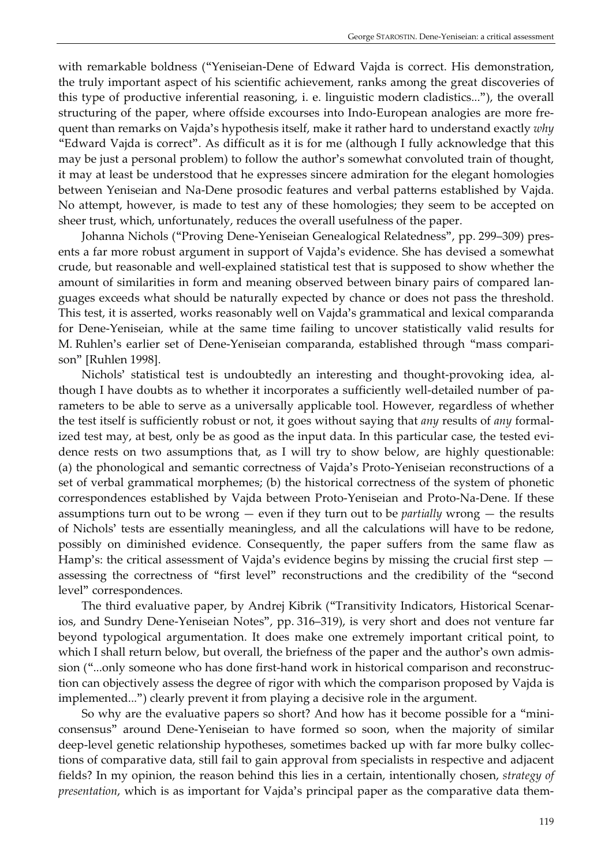with remarkable boldness ("Yeniseian-Dene of Edward Vajda is correct. His demonstration, the truly important aspect of his scientific achievement, ranks among the great discoveries of this type of productive inferential reasoning, i. e. linguistic modern cladistics..."), the overall structuring of the paper, where offside excourses into Indo-European analogies are more frequent than remarks on Vajda's hypothesis itself, make it rather hard to understand exactly why "Edward Vajda is correct". As difficult as it is for me (although I fully acknowledge that this may be just a personal problem) to follow the author's somewhat convoluted train of thought, it may at least be understood that he expresses sincere admiration for the elegant homologies between Yeniseian and Na-Dene prosodic features and verbal patterns established by Vajda. No attempt, however, is made to test any of these homologies; they seem to be accepted on sheer trust, which, unfortunately, reduces the overall usefulness of the paper.

Johanna Nichols ("Proving Dene-Yeniseian Genealogical Relatedness", pp. 299–309) presents a far more robust argument in support of Vajda's evidence. She has devised a somewhat crude, but reasonable and well-explained statistical test that is supposed to show whether the amount of similarities in form and meaning observed between binary pairs of compared languages exceeds what should be naturally expected by chance or does not pass the threshold. This test, it is asserted, works reasonably well on Vajda's grammatical and lexical comparanda for Dene-Yeniseian, while at the same time failing to uncover statistically valid results for M. Ruhlen's earlier set of Dene-Yeniseian comparanda, established through "mass comparison" [Ruhlen 1998].

Nichols' statistical test is undoubtedly an interesting and thought-provoking idea, although I have doubts as to whether it incorporates a sufficiently well-detailed number of parameters to be able to serve as a universally applicable tool. However, regardless of whether the test itself is sufficiently robust or not, it goes without saying that *any* results of *any* formalized test may, at best, only be as good as the input data. In this particular case, the tested evidence rests on two assumptions that, as I will try to show below, are highly questionable: (a) the phonological and semantic correctness of Vajda's Proto-Yeniseian reconstructions of a set of verbal grammatical morphemes; (b) the historical correctness of the system of phonetic correspondences established by Vajda between Proto-Yeniseian and Proto-Na-Dene. If these assumptions turn out to be wrong  $-$  even if they turn out to be *partially* wrong  $-$  the results of Nichols' tests are essentially meaningless, and all the calculations will have to be redone, possibly on diminished evidence. Consequently, the paper suffers from the same flaw as Hamp's: the critical assessment of Vajda's evidence begins by missing the crucial first step  $$ assessing the correctness of "first level" reconstructions and the credibility of the "second level" correspondences.

The third evaluative paper, by Andrej Kibrik ("Transitivity Indicators, Historical Scenarios, and Sundry Dene-Yeniseian Notes", pp. 316–319), is very short and does not venture far beyond typological argumentation. It does make one extremely important critical point, to which I shall return below, but overall, the briefness of the paper and the author's own admission ("...only someone who has done first-hand work in historical comparison and reconstruction can objectively assess the degree of rigor with which the comparison proposed by Vajda is implemented...") clearly prevent it from playing a decisive role in the argument.

So why are the evaluative papers so short? And how has it become possible for a "miniconsensus" around Dene-Yeniseian to have formed so soon, when the majority of similar deep-level genetic relationship hypotheses, sometimes backed up with far more bulky collections of comparative data, still fail to gain approval from specialists in respective and adjacent fields? In my opinion, the reason behind this lies in a certain, intentionally chosen, strategy of presentation, which is as important for Vajda's principal paper as the comparative data them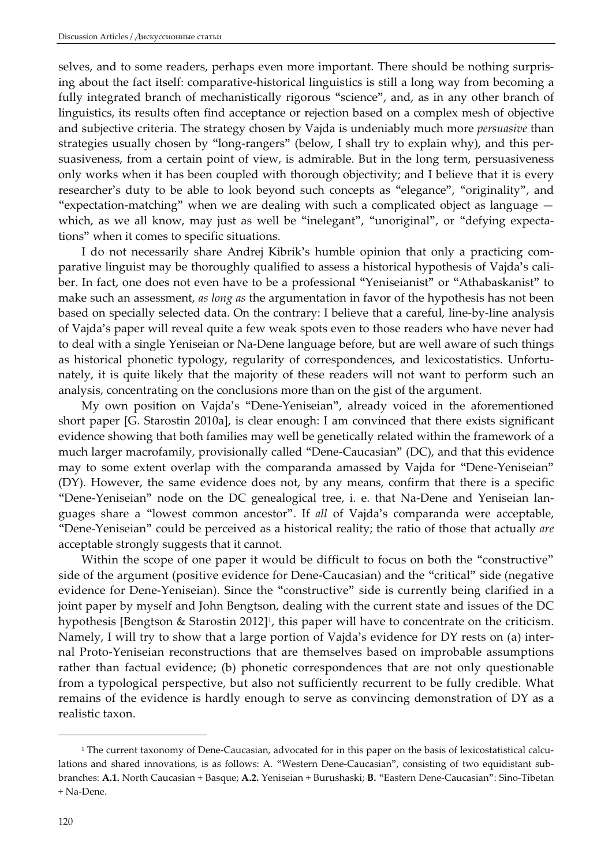selves, and to some readers, perhaps even more important. There should be nothing surprising about the fact itself: comparative-historical linguistics is still a long way from becoming a fully integrated branch of mechanistically rigorous "science", and, as in any other branch of linguistics, its results often find acceptance or rejection based on a complex mesh of objective and subjective criteria. The strategy chosen by Vajda is undeniably much more *persuasive* than strategies usually chosen by "long-rangers" (below, I shall try to explain why), and this persuasiveness, from a certain point of view, is admirable. But in the long term, persuasiveness only works when it has been coupled with thorough objectivity; and I believe that it is every researcher's duty to be able to look beyond such concepts as "elegance", "originality", and "expectation-matching" when we are dealing with such a complicated object as language which, as we all know, may just as well be "inelegant", "unoriginal", or "defying expectations" when it comes to specific situations.

I do not necessarily share Andrej Kibrik's humble opinion that only a practicing comparative linguist may be thoroughly qualified to assess a historical hypothesis of Vajda's caliber. In fact, one does not even have to be a professional "Yeniseianist" or "Athabaskanist" to make such an assessment, as long as the argumentation in favor of the hypothesis has not been based on specially selected data. On the contrary: I believe that a careful, line-by-line analysis of Vajda's paper will reveal quite a few weak spots even to those readers who have never had to deal with a single Yeniseian or Na-Dene language before, but are well aware of such things as historical phonetic typology, regularity of correspondences, and lexicostatistics. Unfortunately, it is quite likely that the majority of these readers will not want to perform such an analysis, concentrating on the conclusions more than on the gist of the argument.

My own position on Vajda's "Dene-Yeniseian", already voiced in the aforementioned short paper [G. Starostin 2010a], is clear enough: I am convinced that there exists significant evidence showing that both families may well be genetically related within the framework of a much larger macrofamily, provisionally called "Dene-Caucasian" (DC), and that this evidence may to some extent overlap with the comparanda amassed by Vajda for "Dene-Yeniseian" (DY). However, the same evidence does not, by any means, confirm that there is a specific "Dene-Yeniseian" node on the DC genealogical tree, i. e. that Na-Dene and Yeniseian languages share a "lowest common ancestor". If all of Vajda's comparanda were acceptable, "Dene-Yeniseian" could be perceived as a historical reality; the ratio of those that actually are acceptable strongly suggests that it cannot.

Within the scope of one paper it would be difficult to focus on both the "constructive" side of the argument (positive evidence for Dene-Caucasian) and the "critical" side (negative evidence for Dene-Yeniseian). Since the "constructive" side is currently being clarified in a joint paper by myself and John Bengtson, dealing with the current state and issues of the DC hypothesis [Bengtson & Starostin 2012]<sup>1</sup>, this paper will have to concentrate on the criticism. Namely, I will try to show that a large portion of Vajda's evidence for DY rests on (a) internal Proto-Yeniseian reconstructions that are themselves based on improbable assumptions rather than factual evidence; (b) phonetic correspondences that are not only questionable from a typological perspective, but also not sufficiently recurrent to be fully credible. What remains of the evidence is hardly enough to serve as convincing demonstration of DY as a realistic taxon.

<sup>&</sup>lt;sup>1</sup> The current taxonomy of Dene-Caucasian, advocated for in this paper on the basis of lexicostatistical calculations and shared innovations, is as follows: A. "Western Dene-Caucasian", consisting of two equidistant subbranches: A.1. North Caucasian + Basque; A.2. Yeniseian + Burushaski; B. "Eastern Dene-Caucasian": Sino-Tibetan + Na-Dene.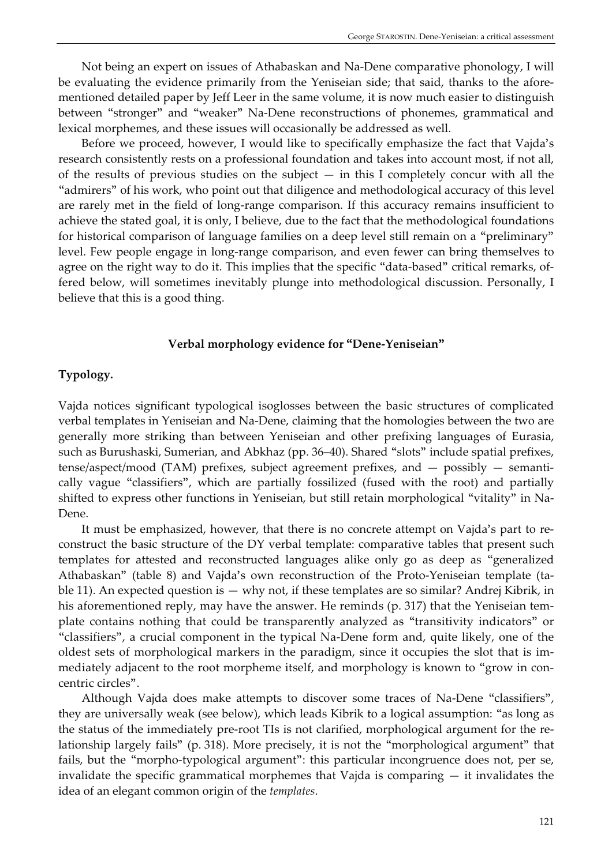Not being an expert on issues of Athabaskan and Na-Dene comparative phonology, I will be evaluating the evidence primarily from the Yeniseian side; that said, thanks to the aforementioned detailed paper by Jeff Leer in the same volume, it is now much easier to distinguish between "stronger" and "weaker" Na-Dene reconstructions of phonemes, grammatical and lexical morphemes, and these issues will occasionally be addressed as well.

Before we proceed, however, I would like to specifically emphasize the fact that Vajda's research consistently rests on a professional foundation and takes into account most, if not all, of the results of previous studies on the subject  $-$  in this I completely concur with all the "admirers" of his work, who point out that diligence and methodological accuracy of this level are rarely met in the field of long-range comparison. If this accuracy remains insufficient to achieve the stated goal, it is only, I believe, due to the fact that the methodological foundations for historical comparison of language families on a deep level still remain on a "preliminary" level. Few people engage in long-range comparison, and even fewer can bring themselves to agree on the right way to do it. This implies that the specific "data-based" critical remarks, offered below, will sometimes inevitably plunge into methodological discussion. Personally, I believe that this is a good thing.

#### Verbal morphology evidence for "Dene-Yeniseian"

#### Typology.

Vajda notices significant typological isoglosses between the basic structures of complicated verbal templates in Yeniseian and Na-Dene, claiming that the homologies between the two are generally more striking than between Yeniseian and other prefixing languages of Eurasia, such as Burushaski, Sumerian, and Abkhaz (pp. 36–40). Shared "slots" include spatial prefixes, tense/aspect/mood (TAM) prefixes, subject agreement prefixes, and — possibly — semantically vague "classifiers", which are partially fossilized (fused with the root) and partially shifted to express other functions in Yeniseian, but still retain morphological "vitality" in Na-Dene.

It must be emphasized, however, that there is no concrete attempt on Vajda's part to reconstruct the basic structure of the DY verbal template: comparative tables that present such templates for attested and reconstructed languages alike only go as deep as "generalized Athabaskan" (table 8) and Vajda's own reconstruction of the Proto-Yeniseian template (table 11). An expected question is  $-$  why not, if these templates are so similar? Andrej Kibrik, in his aforementioned reply, may have the answer. He reminds (p. 317) that the Yeniseian template contains nothing that could be transparently analyzed as "transitivity indicators" or "classifiers", a crucial component in the typical Na-Dene form and, quite likely, one of the oldest sets of morphological markers in the paradigm, since it occupies the slot that is immediately adjacent to the root morpheme itself, and morphology is known to "grow in concentric circles".

Although Vajda does make attempts to discover some traces of Na-Dene "classifiers", they are universally weak (see below), which leads Kibrik to a logical assumption: "as long as the status of the immediately pre-root TIs is not clarified, morphological argument for the relationship largely fails" (p. 318). More precisely, it is not the "morphological argument" that fails, but the "morpho-typological argument": this particular incongruence does not, per se, invalidate the specific grammatical morphemes that Vajda is comparing  $-$  it invalidates the idea of an elegant common origin of the templates.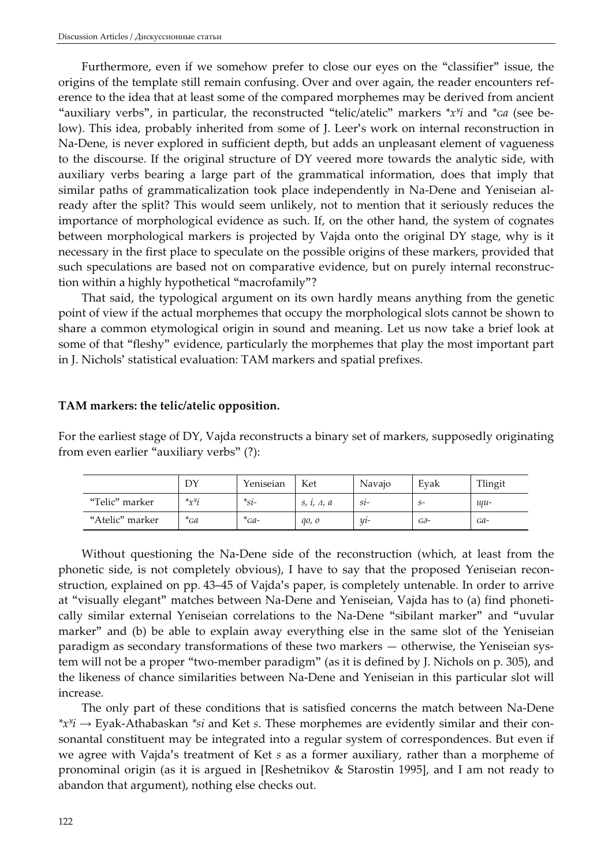Furthermore, even if we somehow prefer to close our eyes on the "classifier" issue, the origins of the template still remain confusing. Over and over again, the reader encounters reference to the idea that at least some of the compared morphemes may be derived from ancient "auxiliary verbs", in particular, the reconstructed "telic/atelic" markers  $*xy_i$  and  $*$  a (see below). This idea, probably inherited from some of J. Leer's work on internal reconstruction in Na-Dene, is never explored in sufficient depth, but adds an unpleasant element of vagueness to the discourse. If the original structure of DY veered more towards the analytic side, with auxiliary verbs bearing a large part of the grammatical information, does that imply that similar paths of grammaticalization took place independently in Na-Dene and Yeniseian already after the split? This would seem unlikely, not to mention that it seriously reduces the importance of morphological evidence as such. If, on the other hand, the system of cognates between morphological markers is projected by Vajda onto the original DY stage, why is it necessary in the first place to speculate on the possible origins of these markers, provided that such speculations are based not on comparative evidence, but on purely internal reconstruction within a highly hypothetical "macrofamily"?

That said, the typological argument on its own hardly means anything from the genetic point of view if the actual morphemes that occupy the morphological slots cannot be shown to share a common etymological origin in sound and meaning. Let us now take a brief look at some of that "fleshy" evidence, particularly the morphemes that play the most important part in J. Nichols' statistical evaluation: TAM markers and spatial prefixes.

For the earliest stage of DY, Vajda reconstructs a binary set of markers, supposedly originating

i  $\begin{array}{c|c} \ni & s_i : a_i \land a \ni & s_i \rightarrow u_i \end{array}$ 

# from even earlier "auxiliary verbs" (?): DY Yeniseian Ket Navajo Eyak Tlingit

| TAM markers: the telic/atelic opposition. |  |  |  |
|-------------------------------------------|--|--|--|
|-------------------------------------------|--|--|--|

"Telic" marker  $\vert x^y_i \vert$ 

"Atelic" marker  $\begin{vmatrix} *_{Ga} & *_{Ga} \\ *_{Ga} & g_0, & y_i \\ *_{Ga} & *_{Ga} \end{vmatrix}$  a-Without questioning the Na-Dene side of the reconstruction (which, at least from the phonetic side, is not completely obvious), I have to say that the proposed Yeniseian reconstruction, explained on pp. 43–45 of Vajda's paper, is completely untenable. In order to arrive at "visually elegant" matches between Na-Dene and Yeniseian, Vajda has to (a) find phonetically similar external Yeniseian correlations to the Na-Dene "sibilant marker" and "uvular marker" and (b) be able to explain away everything else in the same slot of the Yeniseian paradigm as secondary transformations of these two markers — otherwise, the Yeniseian system will not be a proper "two-member paradigm" (as it is defined by J. Nichols on p. 305), and the likeness of chance similarities between Na-Dene and Yeniseian in this particular slot will

The only part of these conditions that is satisfied concerns the match between Na-Dene  $*x\gamma$   $\rightarrow$  Eyak-Athabaskan  $*si$  and Ket s. These morphemes are evidently similar and their consonantal constituent may be integrated into a regular system of correspondences. But even if we agree with Vajda's treatment of Ket s as a former auxiliary, rather than a morpheme of pronominal origin (as it is argued in [Reshetnikov & Starostin 1995], and I am not ready to abandon that argument), nothing else checks out.

increase.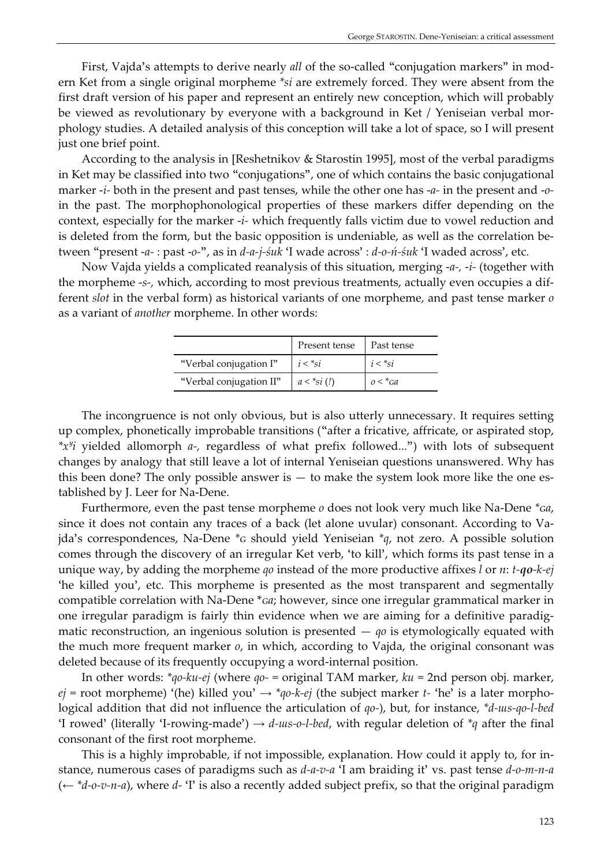First, Vajda's attempts to derive nearly *all* of the so-called "conjugation markers" in modern Ket from a single original morpheme \*si are extremely forced. They were absent from the first draft version of his paper and represent an entirely new conception, which will probably be viewed as revolutionary by everyone with a background in Ket / Yeniseian verbal morphology studies. A detailed analysis of this conception will take a lot of space, so I will present just one brief point.

According to the analysis in [Reshetnikov & Starostin 1995], most of the verbal paradigms in Ket may be classified into two "conjugations", one of which contains the basic conjugational marker  $-i$ - both in the present and past tenses, while the other one has  $-a$ - in the present and  $-o$ in the past. The morphophonological properties of these markers differ depending on the context, especially for the marker -*i*- which frequently falls victim due to vowel reduction and is deleted from the form, but the basic opposition is undeniable, as well as the correlation between "present -a-: past -o-", as in d-a-j- $\frac{2}{3}$ uk 'I wade across' : d-o- $\acute{n}$ - $\frac{2}{3}$ uk 'I waded across', etc.

Now Vajda yields a complicated reanalysis of this situation, merging  $-a-$ ,  $-i-$  (together with the morpheme -s-, which, according to most previous treatments, actually even occupies a different *slot* in the verbal form) as historical variants of one morpheme, and past tense marker *o* as a variant of another morpheme. In other words:

|                         | Present tense       | Past tense          |
|-------------------------|---------------------|---------------------|
| "Verbal conjugation I"  | $i < *_{\text{S}}i$ | $i < *_{\text{S}}i$ |
| "Verbal conjugation II" | $a <$ *si (!)       | $0 \leq$ *Ga        |

The incongruence is not only obvious, but is also utterly unnecessary. It requires setting up complex, phonetically improbable transitions ("after a fricative, affricate, or aspirated stop,  $*x_i$  yi yielded allomorph  $a_{\tau}$ , regardless of what prefix followed...") with lots of subsequent changes by analogy that still leave a lot of internal Yeniseian questions unanswered. Why has this been done? The only possible answer is  $-$  to make the system look more like the one established by J. Leer for Na-Dene.

Furthermore, even the past tense morpheme  $o$  does not look very much like Na-Dene  $*<sub>ca</sub>$ , since it does not contain any traces of a back (let alone uvular) consonant. According to Vajda's correspondences, Na-Dene  $*$  should yield Yeniseian  $*$ q, not zero. A possible solution comes through the discovery of an irregular Ket verb, 'to kill', which forms its past tense in a unique way, by adding the morpheme *qo* instead of the more productive affixes l or *n*: t-*qo*-k-*e*j 'he killed you', etc. This morpheme is presented as the most transparent and segmentally compatible correlation with Na-Dene \*ca; however, since one irregular grammatical marker in one irregular paradigm is fairly thin evidence when we are aiming for a definitive paradigmatic reconstruction, an ingenious solution is presented  $-$  qo is etymologically equated with the much more frequent marker  $o$ , in which, according to Vajda, the original consonant was deleted because of its frequently occupying a word-internal position.

In other words:  $*qo$ - $ku$ - $ej$  (where  $qo$ - = original TAM marker,  $ku$  = 2nd person obj. marker,  $ej =$  root morpheme) '(he) killed you'  $\rightarrow$  \* $qo$ -k- $ej$  (the subject marker t- 'he' is a later morphological addition that did not influence the articulation of  $qo$ -), but, for instance,  $d$ -*uus-qo-l-bed* 'I rowed' (literally 'I-rowing-made')  $\rightarrow$  d-us-o-l-bed, with regular deletion of  $*q$  after the final consonant of the first root morpheme.

This is a highly improbable, if not impossible, explanation. How could it apply to, for instance, numerous cases of paradigms such as  $d-a-v-a$  'I am braiding it' vs. past tense  $d-o-m-a$  $(\leftarrow \text{A}-\text{A}-\text{A}-\text{A})$ , where  $d$ - 'I' is also a recently added subject prefix, so that the original paradigm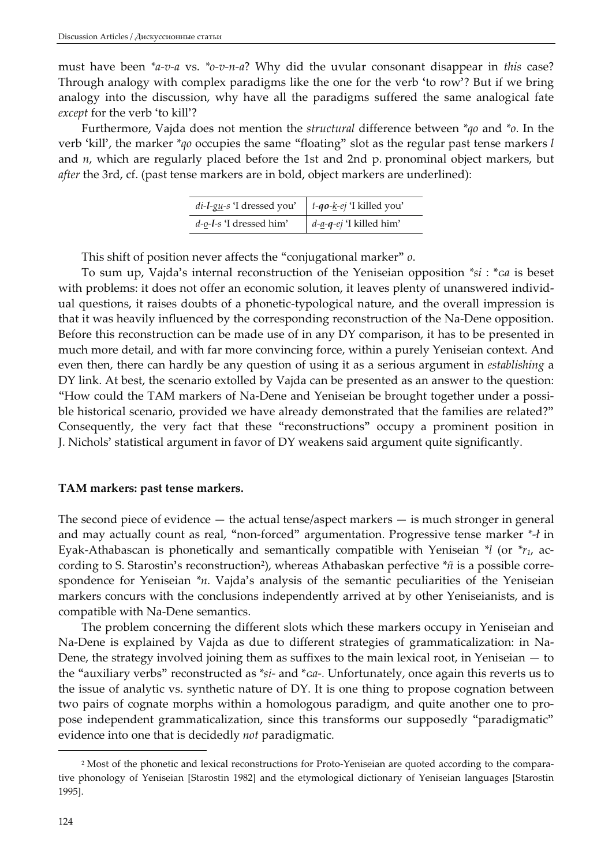must have been  $a-v-a$  vs.  $a-v-a$ ? Why did the uvular consonant disappear in this case? Through analogy with complex paradigms like the one for the verb 'to row'? But if we bring analogy into the discussion, why have all the paradigms suffered the same analogical fate except for the verb 'to kill'?

Furthermore, Vajda does not mention the *structural* difference between  $*q\sigma$  and  $*o$ . In the verb 'kill', the marker \*qo occupies the same "floating" slot as the regular past tense markers l and n, which are regularly placed before the 1st and 2nd p. pronominal object markers, but after the 3rd, cf. (past tense markers are in bold, object markers are underlined):

| $di$ -l-gu-s 'I dressed you'   t-qo-k-ej 'I killed you' |                                                      |
|---------------------------------------------------------|------------------------------------------------------|
| $d$ - $Q$ - $l$ - $s$ 'I dressed him'                   | $d$ - <i>a</i> - <i>q</i> - <i>ej</i> 'I killed him' |

This shift of position never affects the "conjugational marker"  $o$ .

To sum up, Vajda's internal reconstruction of the Yeniseian opposition  $*si : *ga$  is beset with problems: it does not offer an economic solution, it leaves plenty of unanswered individual questions, it raises doubts of a phonetic-typological nature, and the overall impression is that it was heavily influenced by the corresponding reconstruction of the Na-Dene opposition. Before this reconstruction can be made use of in any DY comparison, it has to be presented in much more detail, and with far more convincing force, within a purely Yeniseian context. And even then, there can hardly be any question of using it as a serious argument in establishing a DY link. At best, the scenario extolled by Vajda can be presented as an answer to the question: "How could the TAM markers of Na-Dene and Yeniseian be brought together under a possible historical scenario, provided we have already demonstrated that the families are related?" Consequently, the very fact that these "reconstructions" occupy a prominent position in J. Nichols' statistical argument in favor of DY weakens said argument quite significantly.

#### TAM markers: past tense markers.

The second piece of evidence  $-$  the actual tense/aspect markers  $-$  is much stronger in general and may actually count as real, "non-forced" argumentation. Progressive tense marker \*ł in Eyak-Athabascan is phonetically and semantically compatible with Yeniseian  $*l$  (or  $*_{r_1}$ , according to S. Starostin's reconstruction<sup>2</sup>), whereas Athabaskan perfective  $*$ *ñ* is a possible correspondence for Yeniseian  $*n$ . Vajda's analysis of the semantic peculiarities of the Yeniseian markers concurs with the conclusions independently arrived at by other Yeniseianists, and is compatible with Na-Dene semantics.

The problem concerning the different slots which these markers occupy in Yeniseian and Na-Dene is explained by Vajda as due to different strategies of grammaticalization: in Na-Dene, the strategy involved joining them as suffixes to the main lexical root, in Yeniseian — to the "auxiliary verbs" reconstructed as  $*si$ - and  $*ga$ . Unfortunately, once again this reverts us to the issue of analytic vs. synthetic nature of DY. It is one thing to propose cognation between two pairs of cognate morphs within a homologous paradigm, and quite another one to propose independent grammaticalization, since this transforms our supposedly "paradigmatic" evidence into one that is decidedly not paradigmatic.

<sup>2</sup> Most of the phonetic and lexical reconstructions for Proto-Yeniseian are quoted according to the comparative phonology of Yeniseian [Starostin 1982] and the etymological dictionary of Yeniseian languages [Starostin 1995].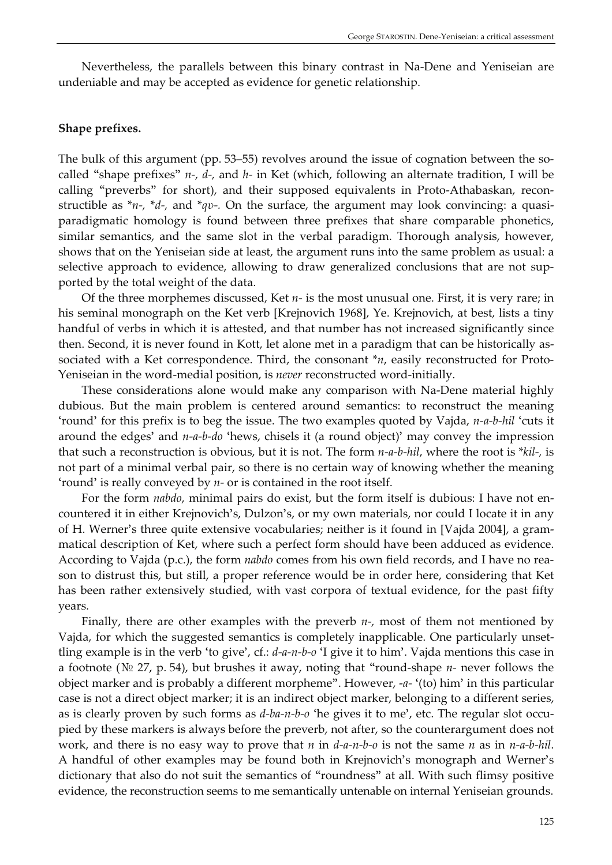Nevertheless, the parallels between this binary contrast in Na-Dene and Yeniseian are undeniable and may be accepted as evidence for genetic relationship.

### Shape prefixes.

The bulk of this argument (pp. 53–55) revolves around the issue of cognation between the socalled "shape prefixes"  $n$ -,  $d$ -, and  $h$ - in Ket (which, following an alternate tradition, I will be calling "preverbs" for short), and their supposed equivalents in Proto-Athabaskan, reconstructible as  $n-$ ,  $d-$ , and  $n-$ . On the surface, the argument may look convincing: a quasiparadigmatic homology is found between three prefixes that share comparable phonetics, similar semantics, and the same slot in the verbal paradigm. Thorough analysis, however, shows that on the Yeniseian side at least, the argument runs into the same problem as usual: a selective approach to evidence, allowing to draw generalized conclusions that are not supported by the total weight of the data.

Of the three morphemes discussed, Ket  $n-$  is the most unusual one. First, it is very rare; in his seminal monograph on the Ket verb [Krejnovich 1968], Ye. Krejnovich, at best, lists a tiny handful of verbs in which it is attested, and that number has not increased significantly since then. Second, it is never found in Kott, let alone met in a paradigm that can be historically associated with a Ket correspondence. Third, the consonant \*n, easily reconstructed for Proto-Yeniseian in the word-medial position, is never reconstructed word-initially.

These considerations alone would make any comparison with Na-Dene material highly dubious. But the main problem is centered around semantics: to reconstruct the meaning 'round' for this prefix is to beg the issue. The two examples quoted by Vajda,  $n-a-b-hil$  'cuts it around the edges' and  $n-a-b-do$  'hews, chisels it (a round object)' may convey the impression that such a reconstruction is obvious, but it is not. The form  $n-a-b-hil$ , where the root is \*kil-, is not part of a minimal verbal pair, so there is no certain way of knowing whether the meaning 'round' is really conveyed by  $n$ - or is contained in the root itself.

For the form nabdo, minimal pairs do exist, but the form itself is dubious: I have not encountered it in either Krejnovich's, Dulzon's, or my own materials, nor could I locate it in any of H. Werner's three quite extensive vocabularies; neither is it found in [Vajda 2004], a grammatical description of Ket, where such a perfect form should have been adduced as evidence. According to Vajda (p.c.), the form *nabdo* comes from his own field records, and I have no reason to distrust this, but still, a proper reference would be in order here, considering that Ket has been rather extensively studied, with vast corpora of textual evidence, for the past fifty years.

Finally, there are other examples with the preverb  $n<sub>z</sub>$ , most of them not mentioned by Vajda, for which the suggested semantics is completely inapplicable. One particularly unsettling example is in the verb 'to give', cf.:  $d-a-n-b-o$  'I give it to him'. Vajda mentions this case in a footnote ( $N<sub>2</sub>$  27, p. 54), but brushes it away, noting that "round-shape *n*- never follows the object marker and is probably a different morpheme". However,  $-a$  (to) him' in this particular case is not a direct object marker; it is an indirect object marker, belonging to a different series, as is clearly proven by such forms as  $d-ba-n-b-o$  'he gives it to me', etc. The regular slot occupied by these markers is always before the preverb, not after, so the counterargument does not work, and there is no easy way to prove that *n* in  $d-a-n-b-o$  is not the same *n* as in *n-a-b-hil*. A handful of other examples may be found both in Krejnovich's monograph and Werner's dictionary that also do not suit the semantics of "roundness" at all. With such flimsy positive evidence, the reconstruction seems to me semantically untenable on internal Yeniseian grounds.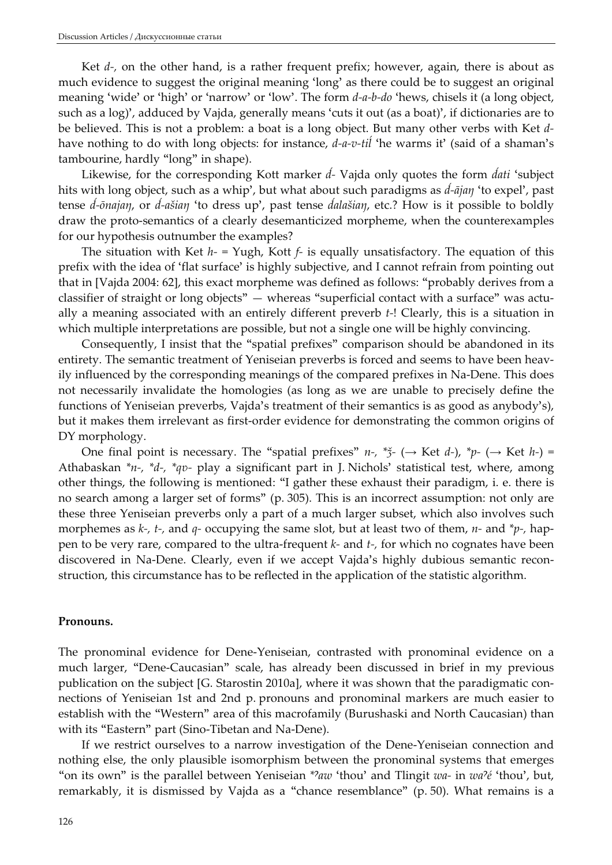Ket  $d$ -, on the other hand, is a rather frequent prefix; however, again, there is about as much evidence to suggest the original meaning 'long' as there could be to suggest an original meaning 'wide' or 'high' or 'narrow' or 'low'. The form d-a-b-do 'hews, chisels it (a long object, such as a log)', adduced by Vajda, generally means 'cuts it out (as a boat)', if dictionaries are to be believed. This is not a problem: a boat is a long object. But many other verbs with Ket dhave nothing to do with long objects: for instance,  $d-a-v-til$  'he warms it' (said of a shaman's tambourine, hardly "long" in shape).

Likewise, for the corresponding Kott marker d- Vajda only quotes the form dati 'subject hits with long object, such as a whip', but what about such paradigms as *d-ājaŋ* 'to expel', past tense d-ōnajaŋ, or d-ašiaŋ 'to dress up', past tense dalašiaŋ, etc.? How is it possible to boldly draw the proto-semantics of a clearly desemanticized morpheme, when the counterexamples for our hypothesis outnumber the examples?

The situation with Ket  $h$ - = Yugh, Kott  $f$ - is equally unsatisfactory. The equation of this prefix with the idea of 'flat surface' is highly subjective, and I cannot refrain from pointing out that in [Vajda 2004: 62], this exact morpheme was defined as follows: "probably derives from a classifier of straight or long objects" — whereas "superficial contact with a surface" was actually a meaning associated with an entirely different preverb  $t$ -! Clearly, this is a situation in which multiple interpretations are possible, but not a single one will be highly convincing.

Consequently, I insist that the "spatial prefixes" comparison should be abandoned in its entirety. The semantic treatment of Yeniseian preverbs is forced and seems to have been heavily influenced by the corresponding meanings of the compared prefixes in Na-Dene. This does not necessarily invalidate the homologies (as long as we are unable to precisely define the functions of Yeniseian preverbs, Vajda's treatment of their semantics is as good as anybody's), but it makes them irrelevant as first-order evidence for demonstrating the common origins of DY morphology.

One final point is necessary. The "spatial prefixes"  $n-$ ,  $* -$  ( $\rightarrow$  Ket  $d$ -),  $* p$ - ( $\rightarrow$  Ket  $h$ -) = Athabaskan \*n-, \*d-, \*qv- play a significant part in J. Nichols' statistical test, where, among other things, the following is mentioned: "I gather these exhaust their paradigm, i. e. there is no search among a larger set of forms" (p. 305). This is an incorrect assumption: not only are these three Yeniseian preverbs only a part of a much larger subset, which also involves such morphemes as  $k<sub>z</sub>$ ,  $t<sub>z</sub>$ , and  $q<sub>z</sub>$  occupying the same slot, but at least two of them,  $n<sub>z</sub>$  and  $*p<sub>z</sub>$ , happen to be very rare, compared to the ultra-frequent  $k$ - and  $t$ -, for which no cognates have been discovered in Na-Dene. Clearly, even if we accept Vajda's highly dubious semantic reconstruction, this circumstance has to be reflected in the application of the statistic algorithm.

#### Pronouns.

The pronominal evidence for Dene-Yeniseian, contrasted with pronominal evidence on a much larger, "Dene-Caucasian" scale, has already been discussed in brief in my previous publication on the subject [G. Starostin 2010a], where it was shown that the paradigmatic connections of Yeniseian 1st and 2nd p. pronouns and pronominal markers are much easier to establish with the "Western" area of this macrofamily (Burushaski and North Caucasian) than with its "Eastern" part (Sino-Tibetan and Na-Dene).

If we restrict ourselves to a narrow investigation of the Dene-Yeniseian connection and nothing else, the only plausible isomorphism between the pronominal systems that emerges "on its own" is the parallel between Yeniseian  $*2aw$  'thou' and Tlingit wa- in wa?e 'thou', but, remarkably, it is dismissed by Vajda as a "chance resemblance" (p. 50). What remains is a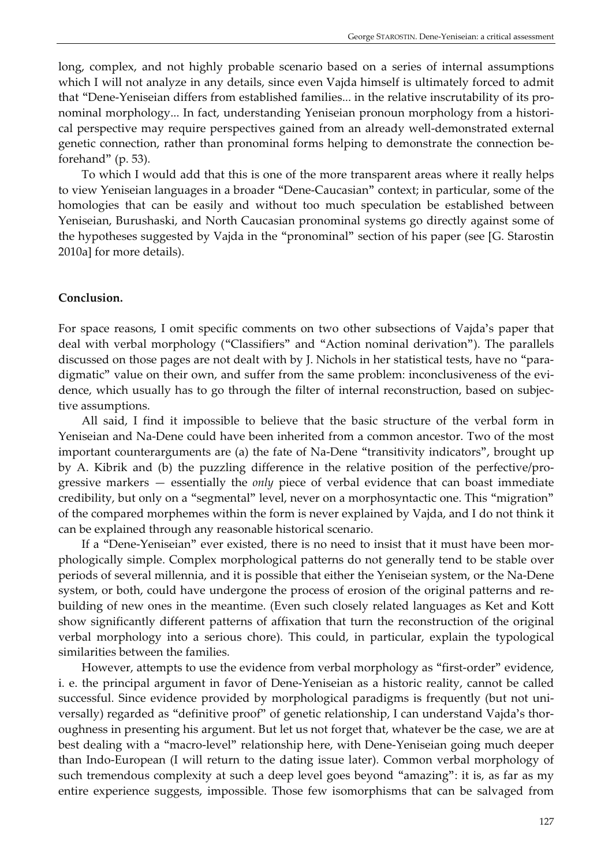long, complex, and not highly probable scenario based on a series of internal assumptions which I will not analyze in any details, since even Vajda himself is ultimately forced to admit that "Dene-Yeniseian differs from established families... in the relative inscrutability of its pronominal morphology... In fact, understanding Yeniseian pronoun morphology from a historical perspective may require perspectives gained from an already well-demonstrated external genetic connection, rather than pronominal forms helping to demonstrate the connection beforehand" (p. 53).

To which I would add that this is one of the more transparent areas where it really helps to view Yeniseian languages in a broader "Dene-Caucasian" context; in particular, some of the homologies that can be easily and without too much speculation be established between Yeniseian, Burushaski, and North Caucasian pronominal systems go directly against some of the hypotheses suggested by Vajda in the "pronominal" section of his paper (see [G. Starostin 2010a] for more details).

## Conclusion.

For space reasons, I omit specific comments on two other subsections of Vajda's paper that deal with verbal morphology ("Classifiers" and "Action nominal derivation"). The parallels discussed on those pages are not dealt with by J. Nichols in her statistical tests, have no "paradigmatic" value on their own, and suffer from the same problem: inconclusiveness of the evidence, which usually has to go through the filter of internal reconstruction, based on subjective assumptions.

All said, I find it impossible to believe that the basic structure of the verbal form in Yeniseian and Na-Dene could have been inherited from a common ancestor. Two of the most important counterarguments are (a) the fate of Na-Dene "transitivity indicators", brought up by A. Kibrik and (b) the puzzling difference in the relative position of the perfective/progressive markers  $-$  essentially the *only* piece of verbal evidence that can boast immediate credibility, but only on a "segmental" level, never on a morphosyntactic one. This "migration" of the compared morphemes within the form is never explained by Vajda, and I do not think it can be explained through any reasonable historical scenario.

If a "Dene-Yeniseian" ever existed, there is no need to insist that it must have been morphologically simple. Complex morphological patterns do not generally tend to be stable over periods of several millennia, and it is possible that either the Yeniseian system, or the Na-Dene system, or both, could have undergone the process of erosion of the original patterns and rebuilding of new ones in the meantime. (Even such closely related languages as Ket and Kott show significantly different patterns of affixation that turn the reconstruction of the original verbal morphology into a serious chore). This could, in particular, explain the typological similarities between the families.

However, attempts to use the evidence from verbal morphology as "first-order" evidence, i. e. the principal argument in favor of Dene-Yeniseian as a historic reality, cannot be called successful. Since evidence provided by morphological paradigms is frequently (but not universally) regarded as "definitive proof" of genetic relationship, I can understand Vajda's thoroughness in presenting his argument. But let us not forget that, whatever be the case, we are at best dealing with a "macro-level" relationship here, with Dene-Yeniseian going much deeper than Indo-European (I will return to the dating issue later). Common verbal morphology of such tremendous complexity at such a deep level goes beyond "amazing": it is, as far as my entire experience suggests, impossible. Those few isomorphisms that can be salvaged from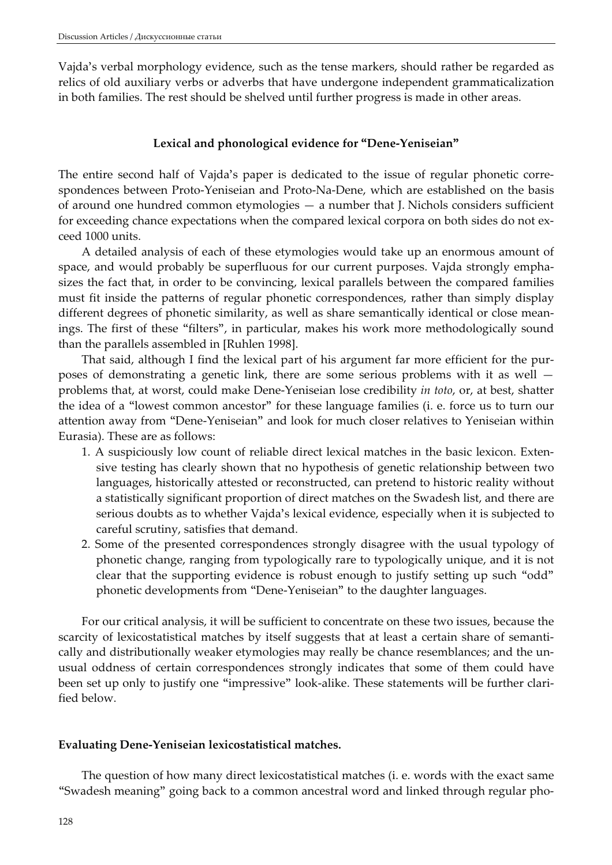Vajda's verbal morphology evidence, such as the tense markers, should rather be regarded as relics of old auxiliary verbs or adverbs that have undergone independent grammaticalization in both families. The rest should be shelved until further progress is made in other areas.

## Lexical and phonological evidence for "Dene-Yeniseian"

The entire second half of Vajda's paper is dedicated to the issue of regular phonetic correspondences between Proto-Yeniseian and Proto-Na-Dene, which are established on the basis of around one hundred common etymologies — a number that J. Nichols considers sufficient for exceeding chance expectations when the compared lexical corpora on both sides do not exceed 1000 units.

A detailed analysis of each of these etymologies would take up an enormous amount of space, and would probably be superfluous for our current purposes. Vajda strongly emphasizes the fact that, in order to be convincing, lexical parallels between the compared families must fit inside the patterns of regular phonetic correspondences, rather than simply display different degrees of phonetic similarity, as well as share semantically identical or close meanings. The first of these "filters", in particular, makes his work more methodologically sound than the parallels assembled in [Ruhlen 1998].

That said, although I find the lexical part of his argument far more efficient for the purposes of demonstrating a genetic link, there are some serious problems with it as well problems that, at worst, could make Dene-Yeniseian lose credibility in toto, or, at best, shatter the idea of a "lowest common ancestor" for these language families (i. e. force us to turn our attention away from "Dene-Yeniseian" and look for much closer relatives to Yeniseian within Eurasia). These are as follows:

- 1. A suspiciously low count of reliable direct lexical matches in the basic lexicon. Extensive testing has clearly shown that no hypothesis of genetic relationship between two languages, historically attested or reconstructed, can pretend to historic reality without a statistically significant proportion of direct matches on the Swadesh list, and there are serious doubts as to whether Vajda's lexical evidence, especially when it is subjected to careful scrutiny, satisfies that demand.
- 2. Some of the presented correspondences strongly disagree with the usual typology of phonetic change, ranging from typologically rare to typologically unique, and it is not clear that the supporting evidence is robust enough to justify setting up such "odd" phonetic developments from "Dene-Yeniseian" to the daughter languages.

For our critical analysis, it will be sufficient to concentrate on these two issues, because the scarcity of lexicostatistical matches by itself suggests that at least a certain share of semantically and distributionally weaker etymologies may really be chance resemblances; and the unusual oddness of certain correspondences strongly indicates that some of them could have been set up only to justify one "impressive" look-alike. These statements will be further clarified below.

## Evaluating Dene-Yeniseian lexicostatistical matches.

The question of how many direct lexicostatistical matches (i. e. words with the exact same "Swadesh meaning" going back to a common ancestral word and linked through regular pho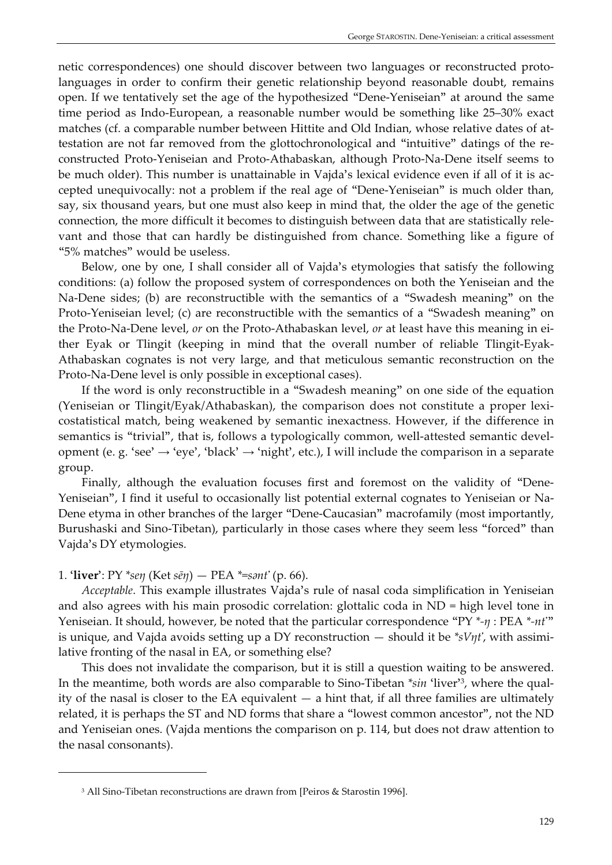netic correspondences) one should discover between two languages or reconstructed protolanguages in order to confirm their genetic relationship beyond reasonable doubt, remains open. If we tentatively set the age of the hypothesized "Dene-Yeniseian" at around the same time period as Indo-European, a reasonable number would be something like 25–30% exact matches (cf. a comparable number between Hittite and Old Indian, whose relative dates of attestation are not far removed from the glottochronological and "intuitive" datings of the reconstructed Proto-Yeniseian and Proto-Athabaskan, although Proto-Na-Dene itself seems to be much older). This number is unattainable in Vajda's lexical evidence even if all of it is accepted unequivocally: not a problem if the real age of "Dene-Yeniseian" is much older than, say, six thousand years, but one must also keep in mind that, the older the age of the genetic connection, the more difficult it becomes to distinguish between data that are statistically relevant and those that can hardly be distinguished from chance. Something like a figure of "5% matches" would be useless.

Below, one by one, I shall consider all of Vajda's etymologies that satisfy the following conditions: (a) follow the proposed system of correspondences on both the Yeniseian and the Na-Dene sides; (b) are reconstructible with the semantics of a "Swadesh meaning" on the Proto-Yeniseian level; (c) are reconstructible with the semantics of a "Swadesh meaning" on the Proto-Na-Dene level, or on the Proto-Athabaskan level, or at least have this meaning in either Eyak or Tlingit (keeping in mind that the overall number of reliable Tlingit-Eyak-Athabaskan cognates is not very large, and that meticulous semantic reconstruction on the Proto-Na-Dene level is only possible in exceptional cases).

If the word is only reconstructible in a "Swadesh meaning" on one side of the equation (Yeniseian or Tlingit/Eyak/Athabaskan), the comparison does not constitute a proper lexicostatistical match, being weakened by semantic inexactness. However, if the difference in semantics is "trivial", that is, follows a typologically common, well-attested semantic development (e. g. 'see'  $\rightarrow$  'eye', 'black'  $\rightarrow$  'night', etc.), I will include the comparison in a separate group.

Finally, although the evaluation focuses first and foremost on the validity of "Dene-Yeniseian", I find it useful to occasionally list potential external cognates to Yeniseian or Na-Dene etyma in other branches of the larger "Dene-Caucasian" macrofamily (most importantly, Burushaski and Sino-Tibetan), particularly in those cases where they seem less "forced" than Vajda's DY etymologies.

#### 1. 'liver': PY \*se $\eta$  (Ket sē $\eta$ ) — PEA \*=sant' (p. 66).

Acceptable. This example illustrates Vajda's rule of nasal coda simplification in Yeniseian and also agrees with his main prosodic correlation: glottalic coda in ND = high level tone in Yeniseian. It should, however, be noted that the particular correspondence "PY  $_{\tau\eta}$ : PEA  $_{\tau}^*$ - $_{\eta}$ t'" is unique, and Vajda avoids setting up a DY reconstruction  $-$  should it be  $*sV\eta t'$ , with assimilative fronting of the nasal in EA, or something else?

This does not invalidate the comparison, but it is still a question waiting to be answered. In the meantime, both words are also comparable to Sino-Tibetan \*sin 'liver'<sup>3</sup>, where the quality of the nasal is closer to the EA equivalent — a hint that, if all three families are ultimately related, it is perhaps the ST and ND forms that share a "lowest common ancestor", not the ND and Yeniseian ones. (Vajda mentions the comparison on p. 114, but does not draw attention to the nasal consonants).

<sup>&</sup>lt;sup>3</sup> All Sino-Tibetan reconstructions are drawn from [Peiros & Starostin 1996].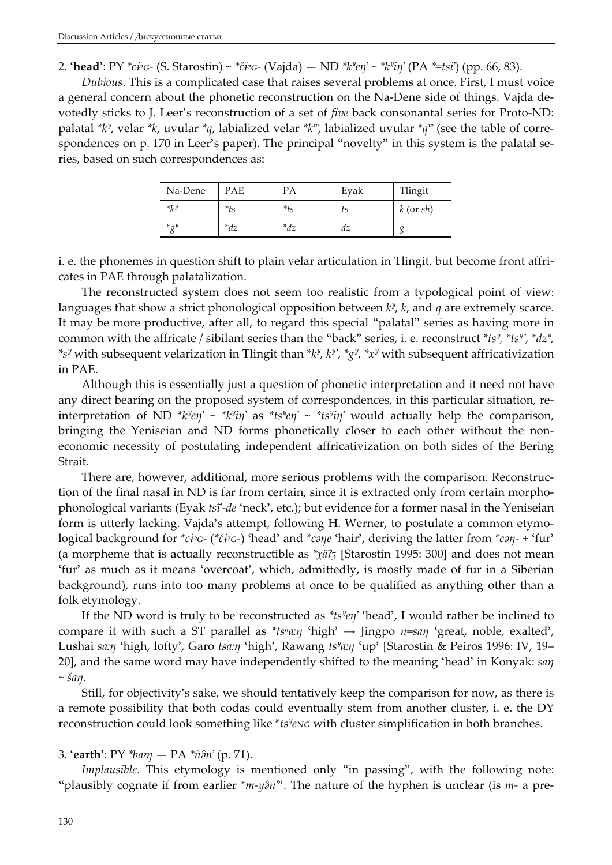2. 'head': PY \*ci^o = (S. Starostin) ~ \*či^o = (Vajda) — ND \*k<sup>y</sup>en' ~ \*k<sup>y</sup>in' (PA \*=tsi') (pp. 66, 83).

Dubious. This is a complicated case that raises several problems at once. First, I must voice a general concern about the phonetic reconstruction on the Na-Dene side of things. Vajda devotedly sticks to J. Leer's reconstruction of a set of five back consonantal series for Proto-ND: palatal \*k<sup>y</sup>, velar \*k, uvular \*q, labialized velar \*k<sup>w</sup>, labialized uvular \*q<sup>w</sup> (see the table of correspondences on p. 170 in Leer's paper). The principal "novelty" in this system is the palatal series, based on such correspondences as:

| Na-Dene            | PAE            | <b>PA</b>       | Eyak | Tlingit        |
|--------------------|----------------|-----------------|------|----------------|
| $*_{k}$ y          | $*_{ts}$       | $*_{{\it ts}}$  | ts   | $k$ (or $sh$ ) |
| $*_{\mathcal{O}}y$ | $\overline{z}$ | $\overline{d}z$ | dz   |                |

i. e. the phonemes in question shift to plain velar articulation in Tlingit, but become front affricates in PAE through palatalization.

The reconstructed system does not seem too realistic from a typological point of view: languages that show a strict phonological opposition between  $k^y$ , k, and q are extremely scarce. It may be more productive, after all, to regard this special "palatal" series as having more in common with the affricate / sibilant series than the "back" series, i. e. reconstruct \*ts", \*ts", \*dz", \*s<sup>y</sup> with subsequent velarization in Tlingit than \*k<sup>y</sup>, k<sup>y</sup>, \*g<sup>y</sup>, \*x<sup>y</sup> with subsequent affricativization in PAE.

Although this is essentially just a question of phonetic interpretation and it need not have any direct bearing on the proposed system of correspondences, in this particular situation, reinterpretation of ND  $*k^y e \eta' \sim *k^y i \eta'$  as  $*ts^y e \eta' \sim *ts^y i \eta'$  would actually help the comparison, bringing the Yeniseian and ND forms phonetically closer to each other without the noneconomic necessity of postulating independent affricativization on both sides of the Bering Strait.

There are, however, additional, more serious problems with the comparison. Reconstruction of the final nasal in ND is far from certain, since it is extracted only from certain morphophonological variants (Eyak tsĩ-de 'neck', etc.); but evidence for a former nasal in the Yeniseian form is utterly lacking. Vajda's attempt, following H. Werner, to postulate a common etymological background for  $*ci_0 - (*ci_0 -)$  'head' and  $*c_0 -$ ' hair', deriving the latter from  $*c_0 -$  + 'fur' (a morpheme that is actually reconstructible as  $\frac{k}{a^2}$  [Starostin 1995: 300] and does not mean 'fur' as much as it means 'overcoat', which, admittedly, is mostly made of fur in a Siberian background), runs into too many problems at once to be qualified as anything other than a folk etymology.

If the ND word is truly to be reconstructed as  $*ts\ell en'$  'head', I would rather be inclined to compare it with such a ST parallel as  $*ts<sup>h</sup>ax\eta$  'high'  $\rightarrow$  Jingpo  $n=sa\eta$  'great, noble, exalted', Lushai sa:n 'high, lofty', Garo tsa:n 'high', Rawang ts<sup>y</sup>a:n 'up' [Starostin & Peiros 1996: IV, 19– 20], and the same word may have independently shifted to the meaning 'head' in Konyak: san  $\sim$  šan.

Still, for objectivity's sake, we should tentatively keep the comparison for now, as there is a remote possibility that both codas could eventually stem from another cluster, i. e. the DY reconstruction could look something like \*ts<sup>y</sup>end with cluster simplification in both branches.

#### 3. **'earth'**: PY \*baη — PA \*ñôn' (p. 71).

Implausible. This etymology is mentioned only "in passing", with the following note: "plausibly cognate if from earlier  $*m$ -y $\hat{\partial}n$ ". The nature of the hyphen is unclear (is m- a pre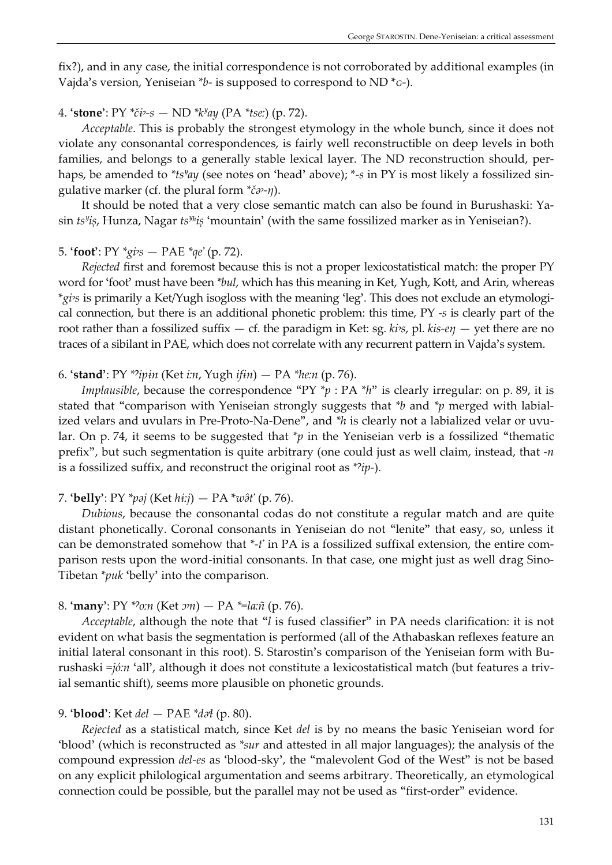fix?), and in any case, the initial correspondence is not corroborated by additional examples (in Vajda's version, Yeniseian  $b$ - is supposed to correspond to ND  $C$ -).

### 4. 'stone':  $PY * \check{c}i-S - ND * k'ay (PA * tse') (p. 72)$ .

Acceptable. This is probably the strongest etymology in the whole bunch, since it does not violate any consonantal correspondences, is fairly well reconstructible on deep levels in both families, and belongs to a generally stable lexical layer. The ND reconstruction should, perhaps, be amended to  $*ts^y a y$  (see notes on 'head' above);  $*$ -s in PY is most likely a fossilized singulative marker (cf. the plural form  $* \check{c} \partial \neg \eta$ ).

It should be noted that a very close semantic match can also be found in Burushaski: Yasin ts<sup>y</sup>is, Hunza, Nagar ts<sup>y<sub>h'is</sub> 'mountain' (with the same fossilized marker as in Yeniseian?).</sup>

#### 5. 'foot':  $PY * qi's - PAE * qe' (p. 72)$ .

Rejected first and foremost because this is not a proper lexicostatistical match: the proper PY word for 'foot' must have been *\*bul*, which has this meaning in Ket, Yugh, Kott, and Arin, whereas \*gis is primarily a Ket/Yugh isogloss with the meaning 'leg'. This does not exclude an etymological connection, but there is an additional phonetic problem: this time,  $PY - s$  is clearly part of the root rather than a fossilized suffix — cf. the paradigm in Ket: sg.  $kirs$ , pl.  $kis-*en*$  — yet there are no traces of a sibilant in PAE, which does not correlate with any recurrent pattern in Vajda's system.

#### 6. 'stand': PY \*?ipin (Ket i:n, Yugh ifin)  $-$  PA \*he:n (p. 76).

*Implausible,* because the correspondence "PY  $^*p$  : PA  $^*h$ " is clearly irregular: on p. 89, it is stated that "comparison with Yeniseian strongly suggests that  $\partial^* p$  and  $\partial^* p$  merged with labialized velars and uvulars in Pre-Proto-Na-Dene", and  $*h$  is clearly not a labialized velar or uvular. On p. 74, it seems to be suggested that  $\gamma$  in the Yeniseian verb is a fossilized "thematic prefix", but such segmentation is quite arbitrary (one could just as well claim, instead, that  $-n$ is a fossilized suffix, and reconstruct the original root as  $\alpha^{2}$ ip-).

#### 7. **'belly'**: PY \*pəj (Ket h<del>i</del>:j) — PA \*wât' (p. 76).

Dubious, because the consonantal codas do not constitute a regular match and are quite distant phonetically. Coronal consonants in Yeniseian do not "lenite" that easy, so, unless it can be demonstrated somehow that  $*$ - $t'$  in PA is a fossilized suffixal extension, the entire comparison rests upon the word-initial consonants. In that case, one might just as well drag Sino-Tibetan \*puk 'belly' into the comparison.

#### 8. 'many': PY  $*2$ oːn (Ket  $22n$ ) — PA  $*=l\pi$  $n$  (p. 76).

Acceptable, although the note that "l is fused classifier" in PA needs clarification: it is not evident on what basis the segmentation is performed (all of the Athabaskan reflexes feature an initial lateral consonant in this root). S. Starostin's comparison of the Yeniseian form with Burushaski =jóːn 'all', although it does not constitute a lexicostatistical match (but features a trivial semantic shift), seems more plausible on phonetic grounds.

#### 9. 'blood': Ket  $del - PAE * d\vartheta t$  (p. 80).

Rejected as a statistical match, since Ket del is by no means the basic Yeniseian word for 'blood' (which is reconstructed as \*sur and attested in all major languages); the analysis of the compound expression *del-es* as 'blood-sky', the "malevolent God of the West" is not be based on any explicit philological argumentation and seems arbitrary. Theoretically, an etymological connection could be possible, but the parallel may not be used as "first-order" evidence.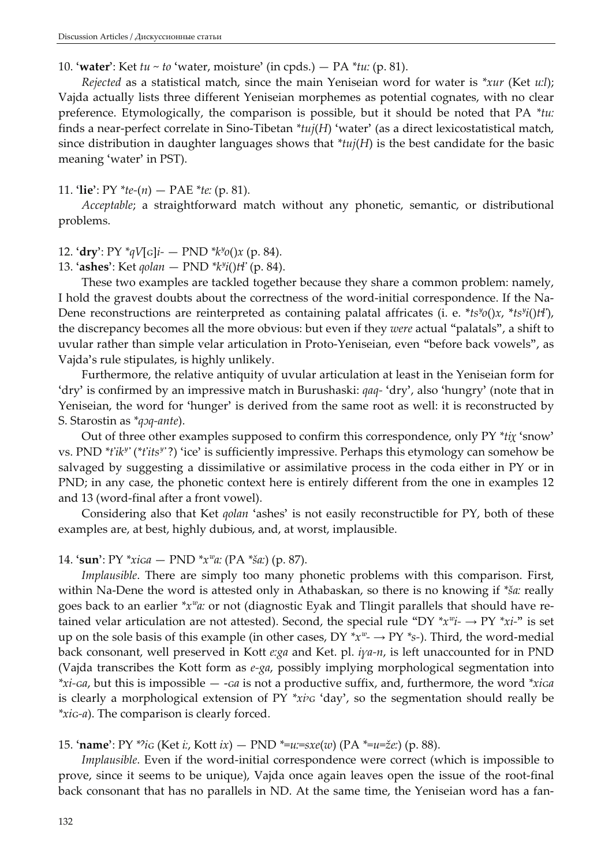10. 'water': Ket tu ~ to 'water, moisture' (in cpds.)  $-$  PA  $*$ tu: (p. 81).

Rejected as a statistical match, since the main Yeniseian word for water is  $*xur$  (Ket u:l); Vajda actually lists three different Yeniseian morphemes as potential cognates, with no clear preference. Etymologically, the comparison is possible, but it should be noted that PA \*tuː finds a near-perfect correlate in Sino-Tibetan  $*tuj(H)$  'water' (as a direct lexicostatistical match, since distribution in daughter languages shows that  $*tuj(H)$  is the best candidate for the basic meaning 'water' in PST).

11. 'lie':  $PY * te-(n) - PAE * te: (p. 81)$ .

Acceptable; a straightforward match without any phonetic, semantic, or distributional problems.

12. 'dry': PY \* $qV[G]$ i- — PND \* $k^y o(x (p. 84)$ .

13. 'ashes': Ket qolan — PND  $* k \ddot{v}$ i()t $\ddot{t}$ ' (p. 84).

These two examples are tackled together because they share a common problem: namely, I hold the gravest doubts about the correctness of the word-initial correspondence. If the Na-Dene reconstructions are reinterpreted as containing palatal affricates (i. e. \*ts<sup>y</sup>o()x, \*ts<sup>y</sup>i()t<sup> $\ddagger$ </sup>), the discrepancy becomes all the more obvious: but even if they were actual "palatals", a shift to uvular rather than simple velar articulation in Proto-Yeniseian, even "before back vowels", as Vajda's rule stipulates, is highly unlikely.

Furthermore, the relative antiquity of uvular articulation at least in the Yeniseian form for 'dry' is confirmed by an impressive match in Burushaski: *qaq*- 'dry', also 'hungry' (note that in Yeniseian, the word for 'hunger' is derived from the same root as well: it is reconstructed by S. Starostin as \*q2q-ante).

Out of three other examples supposed to confirm this correspondence, only PY \*tix 'snow' vs. PND \*t'ik" (\*t'its"?) 'ice' is sufficiently impressive. Perhaps this etymology can somehow be salvaged by suggesting a dissimilative or assimilative process in the coda either in PY or in PND; in any case, the phonetic context here is entirely different from the one in examples 12 and 13 (word-final after a front vowel).

Considering also that Ket qolan 'ashes' is not easily reconstructible for PY, both of these examples are, at best, highly dubious, and, at worst, implausible.

14. 'sun': PY  $*_{xiga}$  — PND  $*_{x^wa}$ : (PA  $*_{\check{g}a}$ ) (p. 87).

Implausible. There are simply too many phonetic problems with this comparison. First, within Na-Dene the word is attested only in Athabaskan, so there is no knowing if \*sation really goes back to an earlier  $\alpha x^w a$ : or not (diagnostic Eyak and Tlingit parallels that should have retained velar articulation are not attested). Second, the special rule "DY  $^*x^w - PY^*x - iS$  is set up on the sole basis of this example (in other cases, DY  $^*x^w \rightarrow PY^*s$ -). Third, the word-medial back consonant, well preserved in Kott  $e$ :ga and Ket. pl.  $i$ ya-n, is left unaccounted for in PND (Vajda transcribes the Kott form as  $e$ -ga, possibly implying morphological segmentation into \*xi-Ga, but this is impossible  $-$  -Ga is not a productive suffix, and, furthermore, the word \*xiGa is clearly a morphological extension of PY  $*xyz$  'day', so the segmentation should really be  $**x*ic-a$ ). The comparison is clearly forced.

15. 'name': PY \*?i (Ket i:, Kott ix) — PND \*=u:=sxe(w) (PA \*=u=že:) (p. 88).

Implausible. Even if the word-initial correspondence were correct (which is impossible to prove, since it seems to be unique), Vajda once again leaves open the issue of the root-final back consonant that has no parallels in ND. At the same time, the Yeniseian word has a fan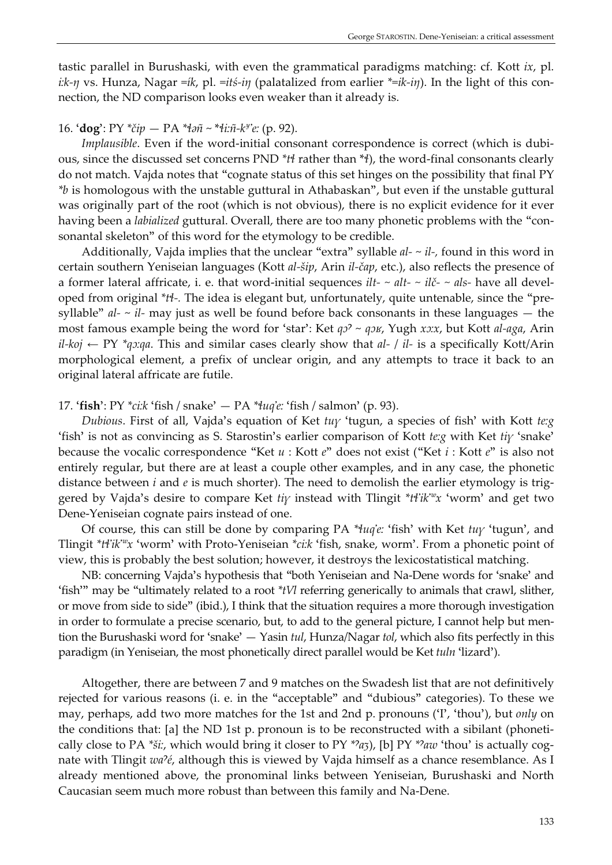tastic parallel in Burushaski, with even the grammatical paradigms matching: cf. Kott  $ix$ , pl. i:k- $\eta$  vs. Hunza, Nagar =ík, pl. =itś-i $\eta$  (palatalized from earlier \*=ik-i $\eta$ ). In the light of this connection, the ND comparison looks even weaker than it already is.

## 16. ' $dog$ ': PY \*čip — PA \* $4a\tilde{n} \sim$  \* $4i\tilde{n}$ - $k^y$ 'e: (p. 92).

Implausible. Even if the word-initial consonant correspondence is correct (which is dubious, since the discussed set concerns PND \*t# rather than \*#), the word-final consonants clearly do not match. Vajda notes that "cognate status of this set hinges on the possibility that final PY \*b is homologous with the unstable guttural in Athabaskan", but even if the unstable guttural was originally part of the root (which is not obvious), there is no explicit evidence for it ever having been a *labialized* guttural. Overall, there are too many phonetic problems with the "consonantal skeleton" of this word for the etymology to be credible.

Additionally, Vajda implies that the unclear "extra" syllable  $al - \sim il$ -, found in this word in certain southern Yeniseian languages (Kott *al-šip*, Arin *il-čap*, etc.), also reflects the presence of a former lateral affricate, i. e. that word-initial sequences  $ilt - \alpha l$   $il \dot{\epsilon}$  ~ als have all developed from original \*t<sup>*+*</sup>. The idea is elegant but, unfortunately, quite untenable, since the "presyllable"  $al - \sim il$ - may just as well be found before back consonants in these languages  $-$  the most famous example being the word for 'star': Ket  $q_{2}$ <sup>2</sup> ~  $q_{2}$ K, Yugh xxx, but Kott al-aga, Arin *il-koj* ← PY *\*qxqa*. This and similar cases clearly show that  $al$ - / *il*- is a specifically Kott/Arin morphological element, a prefix of unclear origin, and any attempts to trace it back to an original lateral affricate are futile.

### 17. 'fish': PY \*ci:k 'fish / snake'  $-$  PA \* $t uq'e$ : 'fish / salmon' (p. 93).

Dubious. First of all, Vajda's equation of Ket  $t u y$  'tugun, a species of fish' with Kott te:g 'fish' is not as convincing as S. Starostin's earlier comparison of Kott teig with Ket tiy 'snake' because the vocalic correspondence "Ket  $u$  : Kott  $e$ " does not exist ("Ket  $i$  : Kott  $e$ " is also not entirely regular, but there are at least a couple other examples, and in any case, the phonetic distance between i and e is much shorter). The need to demolish the earlier etymology is triggered by Vajda's desire to compare Ket tiy instead with Tlingit \*t#'ik'<sup>w</sup>x 'worm' and get two Dene-Yeniseian cognate pairs instead of one.

Of course, this can still be done by comparing PA  $*$ *uq'e*: 'fish' with Ket tuy 'tugun', and Tlingit  $*t\ddot{i}$ ' $\ddot{k}$ '' $x$ ''worm' with Proto-Yeniseian  $*c\dot{i}$ : $k$ 'fish, snake, worm'. From a phonetic point of view, this is probably the best solution; however, it destroys the lexicostatistical matching.

NB: concerning Vajda's hypothesis that "both Yeniseian and Na-Dene words for 'snake' and 'fish'" may be "ultimately related to a root  $*tVl$  referring generically to animals that crawl, slither, or move from side to side" (ibid.), I think that the situation requires a more thorough investigation in order to formulate a precise scenario, but, to add to the general picture, I cannot help but mention the Burushaski word for 'snake' — Yasin tul, Hunza/Nagar tol, which also fits perfectly in this paradigm (in Yeniseian, the most phonetically direct parallel would be Ket tuln 'lizard').

Altogether, there are between 7 and 9 matches on the Swadesh list that are not definitively rejected for various reasons (i. e. in the "acceptable" and "dubious" categories). To these we may, perhaps, add two more matches for the 1st and 2nd p. pronouns ('I', 'thou'), but only on the conditions that: [a] the ND 1st p. pronoun is to be reconstructed with a sibilant (phonetically close to PA \*ši:, which would bring it closer to PY \*?a3), [b] PY \*?aw 'thou' is actually cognate with Tlingit  $wa^2\acute{e}$ , although this is viewed by Vajda himself as a chance resemblance. As I already mentioned above, the pronominal links between Yeniseian, Burushaski and North Caucasian seem much more robust than between this family and Na-Dene.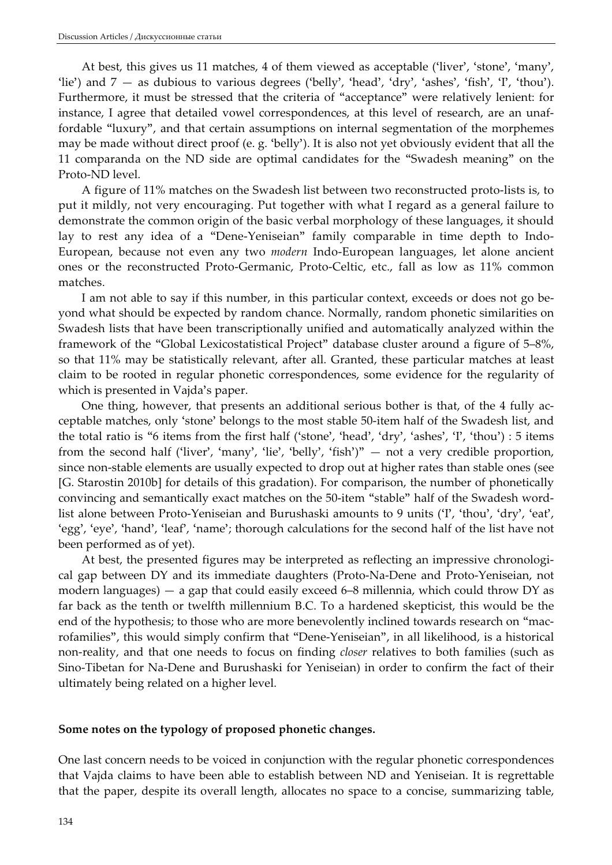At best, this gives us 11 matches, 4 of them viewed as acceptable ('liver', 'stone', 'many', 'lie') and  $7 -$  as dubious to various degrees ('belly', 'head', 'dry', 'ashes', 'fish', 'I', 'thou'). Furthermore, it must be stressed that the criteria of "acceptance" were relatively lenient: for instance, I agree that detailed vowel correspondences, at this level of research, are an unaffordable "luxury", and that certain assumptions on internal segmentation of the morphemes may be made without direct proof (e. g. 'belly'). It is also not yet obviously evident that all the 11 comparanda on the ND side are optimal candidates for the "Swadesh meaning" on the Proto-ND level.

A figure of 11% matches on the Swadesh list between two reconstructed proto-lists is, to put it mildly, not very encouraging. Put together with what I regard as a general failure to demonstrate the common origin of the basic verbal morphology of these languages, it should lay to rest any idea of a "Dene-Yeniseian" family comparable in time depth to Indo-European, because not even any two modern Indo-European languages, let alone ancient ones or the reconstructed Proto-Germanic, Proto-Celtic, etc., fall as low as 11% common matches.

I am not able to say if this number, in this particular context, exceeds or does not go beyond what should be expected by random chance. Normally, random phonetic similarities on Swadesh lists that have been transcriptionally unified and automatically analyzed within the framework of the "Global Lexicostatistical Project" database cluster around a figure of 5–8%, so that 11% may be statistically relevant, after all. Granted, these particular matches at least claim to be rooted in regular phonetic correspondences, some evidence for the regularity of which is presented in Vajda's paper.

One thing, however, that presents an additional serious bother is that, of the 4 fully acceptable matches, only 'stone' belongs to the most stable 50-item half of the Swadesh list, and the total ratio is "6 items from the first half ('stone', 'head', 'dry', 'ashes', 'I', 'thou') : 5 items from the second half ('liver', 'many', 'lie', 'belly', 'fish')" — not a very credible proportion, since non-stable elements are usually expected to drop out at higher rates than stable ones (see [G. Starostin 2010b] for details of this gradation). For comparison, the number of phonetically convincing and semantically exact matches on the 50-item "stable" half of the Swadesh wordlist alone between Proto-Yeniseian and Burushaski amounts to 9 units (T, 'thou', 'dry', 'eat', 'egg', 'eye', 'hand', 'leaf', 'name'; thorough calculations for the second half of the list have not been performed as of yet).

At best, the presented figures may be interpreted as reflecting an impressive chronological gap between DY and its immediate daughters (Proto-Na-Dene and Proto-Yeniseian, not modern languages) — a gap that could easily exceed  $6-8$  millennia, which could throw DY as far back as the tenth or twelfth millennium B.C. To a hardened skepticist, this would be the end of the hypothesis; to those who are more benevolently inclined towards research on "macrofamilies", this would simply confirm that "Dene-Yeniseian", in all likelihood, is a historical non-reality, and that one needs to focus on finding *closer* relatives to both families (such as Sino-Tibetan for Na-Dene and Burushaski for Yeniseian) in order to confirm the fact of their ultimately being related on a higher level.

#### Some notes on the typology of proposed phonetic changes.

One last concern needs to be voiced in conjunction with the regular phonetic correspondences that Vajda claims to have been able to establish between ND and Yeniseian. It is regrettable that the paper, despite its overall length, allocates no space to a concise, summarizing table,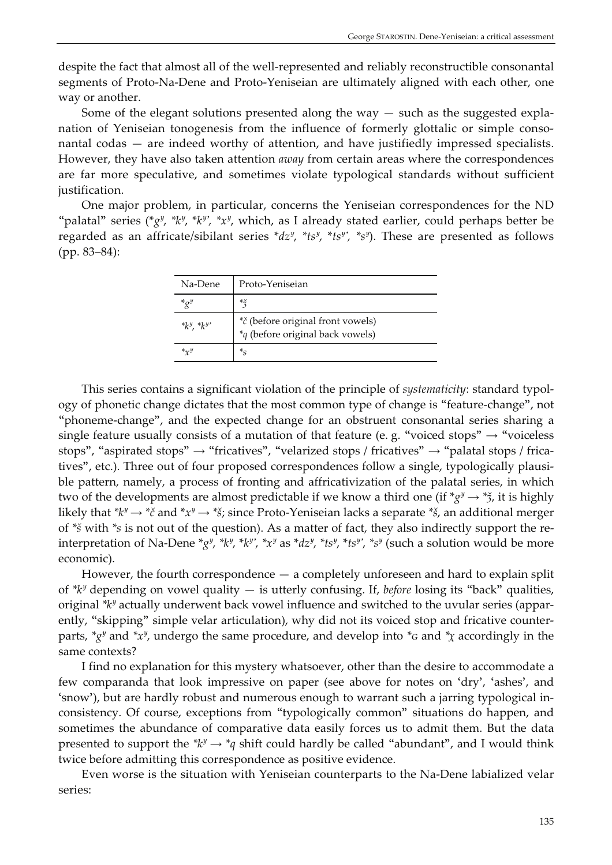despite the fact that almost all of the well-represented and reliably reconstructible consonantal segments of Proto-Na-Dene and Proto-Yeniseian are ultimately aligned with each other, one way or another.

Some of the elegant solutions presented along the way  $-$  such as the suggested explanation of Yeniseian tonogenesis from the influence of formerly glottalic or simple consonantal codas — are indeed worthy of attention, and have justifiedly impressed specialists. However, they have also taken attention *away* from certain areas where the correspondences are far more speculative, and sometimes violate typological standards without sufficient justification.

One major problem, in particular, concerns the Yeniseian correspondences for the ND "palatal" series (\*g, \*k, \*k, \*x, which, as I already stated earlier, could perhaps better be regarded as an affricate/sibilant series  $dz^y$ ,  $dz^y$ ,  $dds^y$ ,  $dds^y$ . These are presented as follows (pp. 83–84):

| Na-Dene            | Proto-Yeniseian                                                       |
|--------------------|-----------------------------------------------------------------------|
| $*_{\mathcal{O}}y$ | *ž                                                                    |
| * $k^y$ , * $k^y$  | *č (before original front vowels)<br>*q (before original back vowels) |
| $*_{\gamma}y$      | $*_{S}$                                                               |

This series contains a significant violation of the principle of systematicity: standard typology of phonetic change dictates that the most common type of change is "feature-change", not "phoneme-change", and the expected change for an obstruent consonantal series sharing a single feature usually consists of a mutation of that feature (e. g. "voiced stops"  $\rightarrow$  "voiceless" stops", "aspirated stops"  $\rightarrow$  "fricatives", "velarized stops / fricatives"  $\rightarrow$  "palatal stops / fricatives", etc.). Three out of four proposed correspondences follow a single, typologically plausible pattern, namely, a process of fronting and affricativization of the palatal series, in which two of the developments are almost predictable if we know a third one (if  $\gamma g^y \rightarrow \gamma g^z$ , it is highly likely that  $*k^y \rightarrow *k^z$  and  $*x^y \rightarrow *k^z$ ; since Proto-Yeniseian lacks a separate  $*k^z$ , an additional merger of \*š with \*s is not out of the question). As a matter of fact, they also indirectly support the reinterpretation of Na-Dene  $*g^y$ ,  $*k^y$ ,  $*k^y$ ,  $*x^y$  as  $*dz^y$ ,  $*ts^y$ ,  $*ts^y$ ,  $*s^y$  (such a solution would be more economic).

However, the fourth correspondence  $-$  a completely unforeseen and hard to explain split of  $*k^y$  depending on vowel quality — is utterly confusing. If, before losing its "back" qualities, original  $*k^y$  actually underwent back vowel influence and switched to the uvular series (apparently, "skipping" simple velar articulation), why did not its voiced stop and fricative counterparts,  $*\gamma$  and  $*\gamma$ , undergo the same procedure, and develop into  $*\sigma$  and  $*\gamma$  accordingly in the same contexts?

I find no explanation for this mystery whatsoever, other than the desire to accommodate a few comparanda that look impressive on paper (see above for notes on 'dry', 'ashes', and 'snow'), but are hardly robust and numerous enough to warrant such a jarring typological inconsistency. Of course, exceptions from "typologically common" situations do happen, and sometimes the abundance of comparative data easily forces us to admit them. But the data presented to support the  $*k^y \rightarrow *q$  shift could hardly be called "abundant", and I would think twice before admitting this correspondence as positive evidence.

Even worse is the situation with Yeniseian counterparts to the Na-Dene labialized velar series: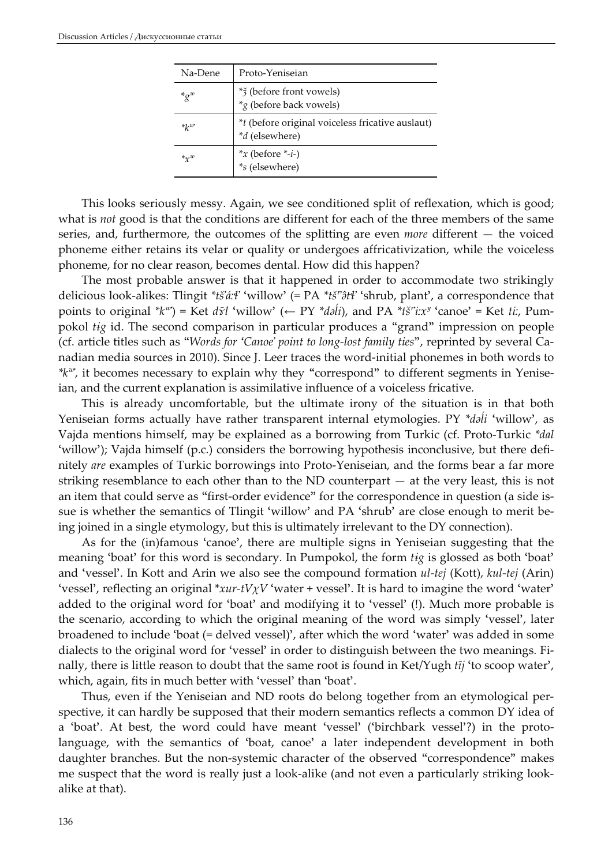| Na-Dene     | Proto-Yeniseian                                                                  |
|-------------|----------------------------------------------------------------------------------|
| $*_g^w$     | * <i>ž</i> (before front vowels)<br>*g (before back vowels)                      |
| $*_{k}$ w   | <i>*t</i> (before original voiceless fricative auslaut)<br><i>*d</i> (elsewhere) |
| $*\gamma^w$ | $*_x$ (before $_{-i-}$ )<br>*s (elsewhere)                                       |

This looks seriously messy. Again, we see conditioned split of reflexation, which is good; what is not good is that the conditions are different for each of the three members of the same series, and, furthermore, the outcomes of the splitting are even *more* different - the voiced phoneme either retains its velar or quality or undergoes affricativization, while the voiceless phoneme, for no clear reason, becomes dental. How did this happen?

The most probable answer is that it happened in order to accommodate two strikingly delicious look-alikes: Tlingit \**tš'á:*ť 'willow' (= PA \**tš<sup>r</sup>ôtť* 'shrub, plant', a correspondence that points to original  $* k^w$ ) = Ket dvl 'willow' ( $\leftarrow$  PY  $* d \dot{a} i$ ), and PA  $* t \dot{s}$ "i: $x^y$  'canoe' = Ket ti:, Pumpokol tig id. The second comparison in particular produces a "grand" impression on people (cf. article titles such as "Words for 'Canoe' point to long-lost family ties", reprinted by several Canadian media sources in 2010). Since J. Leer traces the word-initial phonemes in both words to  $*k^w$ , it becomes necessary to explain why they "correspond" to different segments in Yeniseian, and the current explanation is assimilative influence of a voiceless fricative.

This is already uncomfortable, but the ultimate irony of the situation is in that both Yeniseian forms actually have rather transparent internal etymologies. PY \*dali 'willow', as Vajda mentions himself, may be explained as a borrowing from Turkic (cf. Proto-Turkic \*dal 'willow'); Vajda himself (p.c.) considers the borrowing hypothesis inconclusive, but there definitely are examples of Turkic borrowings into Proto-Yeniseian, and the forms bear a far more striking resemblance to each other than to the ND counterpart — at the very least, this is not an item that could serve as "first-order evidence" for the correspondence in question (a side issue is whether the semantics of Tlingit 'willow' and PA 'shrub' are close enough to merit being joined in a single etymology, but this is ultimately irrelevant to the DY connection).

As for the (in)famous 'canoe', there are multiple signs in Yeniseian suggesting that the meaning 'boat' for this word is secondary. In Pumpokol, the form tig is glossed as both 'boat' and 'vessel'. In Kott and Arin we also see the compound formation ul-tej (Kott), kul-tej (Arin) 'vessel', reflecting an original  $*xur-tV\chi V$  'water + vessel'. It is hard to imagine the word 'water' added to the original word for 'boat' and modifying it to 'vessel' (!). Much more probable is the scenario, according to which the original meaning of the word was simply 'vessel', later broadened to include 'boat (= delved vessel)', after which the word 'water' was added in some dialects to the original word for 'vessel' in order to distinguish between the two meanings. Finally, there is little reason to doubt that the same root is found in Ket/Yugh tīj 'to scoop water', which, again, fits in much better with 'vessel' than 'boat'.

Thus, even if the Yeniseian and ND roots do belong together from an etymological perspective, it can hardly be supposed that their modern semantics reflects a common DY idea of a 'boat'. At best, the word could have meant 'vessel' ('birchbark vessel'?) in the protolanguage, with the semantics of 'boat, canoe' a later independent development in both daughter branches. But the non-systemic character of the observed "correspondence" makes me suspect that the word is really just a look-alike (and not even a particularly striking lookalike at that).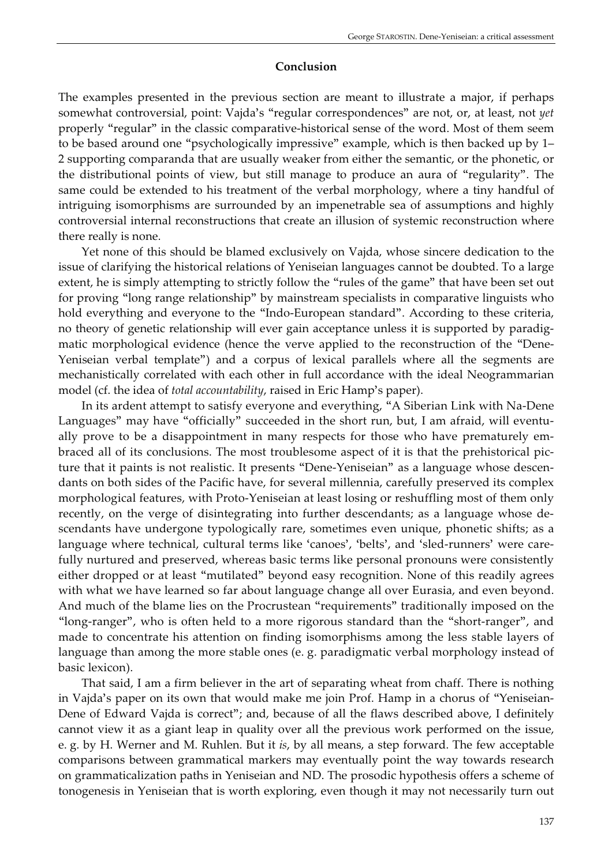#### Conclusion

The examples presented in the previous section are meant to illustrate a major, if perhaps somewhat controversial, point: Vajda's "regular correspondences" are not, or, at least, not yet properly "regular" in the classic comparative-historical sense of the word. Most of them seem to be based around one "psychologically impressive" example, which is then backed up by 1– 2 supporting comparanda that are usually weaker from either the semantic, or the phonetic, or the distributional points of view, but still manage to produce an aura of "regularity". The same could be extended to his treatment of the verbal morphology, where a tiny handful of intriguing isomorphisms are surrounded by an impenetrable sea of assumptions and highly controversial internal reconstructions that create an illusion of systemic reconstruction where there really is none.

Yet none of this should be blamed exclusively on Vajda, whose sincere dedication to the issue of clarifying the historical relations of Yeniseian languages cannot be doubted. To a large extent, he is simply attempting to strictly follow the "rules of the game" that have been set out for proving "long range relationship" by mainstream specialists in comparative linguists who hold everything and everyone to the "Indo-European standard". According to these criteria, no theory of genetic relationship will ever gain acceptance unless it is supported by paradigmatic morphological evidence (hence the verve applied to the reconstruction of the "Dene-Yeniseian verbal template") and a corpus of lexical parallels where all the segments are mechanistically correlated with each other in full accordance with the ideal Neogrammarian model (cf. the idea of total accountability, raised in Eric Hamp's paper).

In its ardent attempt to satisfy everyone and everything, "A Siberian Link with Na-Dene Languages" may have "officially" succeeded in the short run, but, I am afraid, will eventually prove to be a disappointment in many respects for those who have prematurely embraced all of its conclusions. The most troublesome aspect of it is that the prehistorical picture that it paints is not realistic. It presents "Dene-Yeniseian" as a language whose descendants on both sides of the Pacific have, for several millennia, carefully preserved its complex morphological features, with Proto-Yeniseian at least losing or reshuffling most of them only recently, on the verge of disintegrating into further descendants; as a language whose descendants have undergone typologically rare, sometimes even unique, phonetic shifts; as a language where technical, cultural terms like 'canoes', 'belts', and 'sled-runners' were carefully nurtured and preserved, whereas basic terms like personal pronouns were consistently either dropped or at least "mutilated" beyond easy recognition. None of this readily agrees with what we have learned so far about language change all over Eurasia, and even beyond. And much of the blame lies on the Procrustean "requirements" traditionally imposed on the "long-ranger", who is often held to a more rigorous standard than the "short-ranger", and made to concentrate his attention on finding isomorphisms among the less stable layers of language than among the more stable ones (e. g. paradigmatic verbal morphology instead of basic lexicon).

That said, I am a firm believer in the art of separating wheat from chaff. There is nothing in Vajda's paper on its own that would make me join Prof. Hamp in a chorus of "Yeniseian-Dene of Edward Vajda is correct"; and, because of all the flaws described above, I definitely cannot view it as a giant leap in quality over all the previous work performed on the issue, e. g. by H. Werner and M. Ruhlen. But it is, by all means, a step forward. The few acceptable comparisons between grammatical markers may eventually point the way towards research on grammaticalization paths in Yeniseian and ND. The prosodic hypothesis offers a scheme of tonogenesis in Yeniseian that is worth exploring, even though it may not necessarily turn out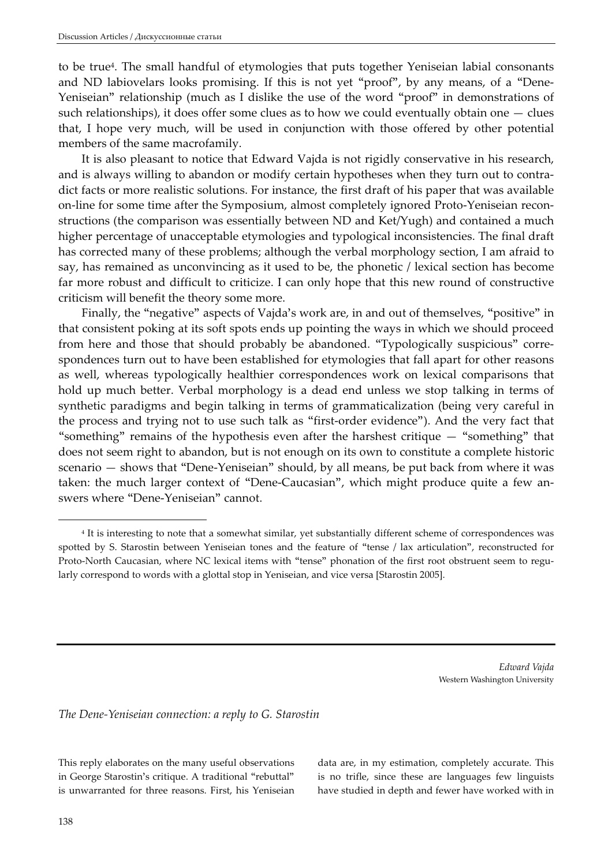to be true<sup>4</sup>. The small handful of etymologies that puts together Yeniseian labial consonants and ND labiovelars looks promising. If this is not yet "proof", by any means, of a "Dene-Yeniseian" relationship (much as I dislike the use of the word "proof" in demonstrations of such relationships), it does offer some clues as to how we could eventually obtain one — clues that, I hope very much, will be used in conjunction with those offered by other potential members of the same macrofamily.

It is also pleasant to notice that Edward Vajda is not rigidly conservative in his research, and is always willing to abandon or modify certain hypotheses when they turn out to contradict facts or more realistic solutions. For instance, the first draft of his paper that was available on-line for some time after the Symposium, almost completely ignored Proto-Yeniseian reconstructions (the comparison was essentially between ND and Ket/Yugh) and contained a much higher percentage of unacceptable etymologies and typological inconsistencies. The final draft has corrected many of these problems; although the verbal morphology section, I am afraid to say, has remained as unconvincing as it used to be, the phonetic / lexical section has become far more robust and difficult to criticize. I can only hope that this new round of constructive criticism will benefit the theory some more.

Finally, the "negative" aspects of Vajda's work are, in and out of themselves, "positive" in that consistent poking at its soft spots ends up pointing the ways in which we should proceed from here and those that should probably be abandoned. "Typologically suspicious" correspondences turn out to have been established for etymologies that fall apart for other reasons as well, whereas typologically healthier correspondences work on lexical comparisons that hold up much better. Verbal morphology is a dead end unless we stop talking in terms of synthetic paradigms and begin talking in terms of grammaticalization (being very careful in the process and trying not to use such talk as "first-order evidence"). And the very fact that "something" remains of the hypothesis even after the harshest critique — "something" that does not seem right to abandon, but is not enough on its own to constitute a complete historic scenario — shows that "Dene-Yeniseian" should, by all means, be put back from where it was taken: the much larger context of "Dene-Caucasian", which might produce quite a few answers where "Dene-Yeniseian" cannot.

Edward Vajda Western Washington University

The Dene-Yeniseian connection: a reply to G. Starostin

This reply elaborates on the many useful observations in George Starostin's critique. A traditional "rebuttal" is unwarranted for three reasons. First, his Yeniseian

data are, in my estimation, completely accurate. This is no trifle, since these are languages few linguists have studied in depth and fewer have worked with in

<sup>4</sup> It is interesting to note that a somewhat similar, yet substantially different scheme of correspondences was spotted by S. Starostin between Yeniseian tones and the feature of "tense / lax articulation", reconstructed for Proto-North Caucasian, where NC lexical items with "tense" phonation of the first root obstruent seem to regularly correspond to words with a glottal stop in Yeniseian, and vice versa [Starostin 2005].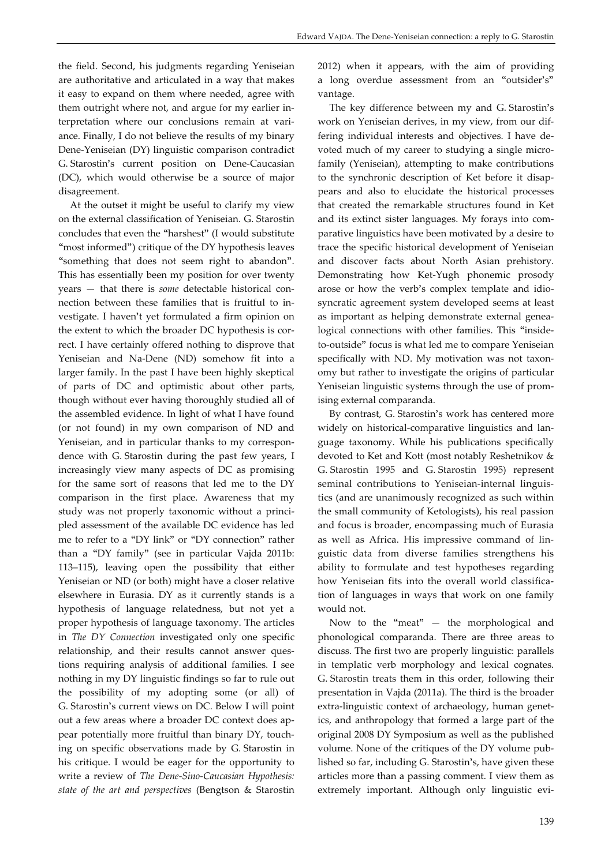the field. Second, his judgments regarding Yeniseian are authoritative and articulated in a way that makes it easy to expand on them where needed, agree with them outright where not, and argue for my earlier interpretation where our conclusions remain at variance. Finally, I do not believe the results of my binary Dene-Yeniseian (DY) linguistic comparison contradict G. Starostin's current position on Dene-Caucasian (DC), which would otherwise be a source of major disagreement.

At the outset it might be useful to clarify my view on the external classification of Yeniseian. G. Starostin concludes that even the "harshest" (I would substitute "most informed") critique of the DY hypothesis leaves "something that does not seem right to abandon". This has essentially been my position for over twenty years — that there is some detectable historical connection between these families that is fruitful to investigate. I haven't yet formulated a firm opinion on the extent to which the broader DC hypothesis is correct. I have certainly offered nothing to disprove that Yeniseian and Na-Dene (ND) somehow fit into a larger family. In the past I have been highly skeptical of parts of DC and optimistic about other parts, though without ever having thoroughly studied all of the assembled evidence. In light of what I have found (or not found) in my own comparison of ND and Yeniseian, and in particular thanks to my correspondence with G. Starostin during the past few years, I increasingly view many aspects of DC as promising for the same sort of reasons that led me to the DY comparison in the first place. Awareness that my study was not properly taxonomic without a principled assessment of the available DC evidence has led me to refer to a "DY link" or "DY connection" rather than a "DY family" (see in particular Vajda 2011b: 113–115), leaving open the possibility that either Yeniseian or ND (or both) might have a closer relative elsewhere in Eurasia. DY as it currently stands is a hypothesis of language relatedness, but not yet a proper hypothesis of language taxonomy. The articles in The DY Connection investigated only one specific relationship, and their results cannot answer questions requiring analysis of additional families. I see nothing in my DY linguistic findings so far to rule out the possibility of my adopting some (or all) of G. Starostin's current views on DC. Below I will point out a few areas where a broader DC context does appear potentially more fruitful than binary DY, touching on specific observations made by G. Starostin in his critique. I would be eager for the opportunity to write a review of The Dene-Sino-Caucasian Hypothesis: state of the art and perspectives (Bengtson & Starostin 2012) when it appears, with the aim of providing a long overdue assessment from an "outsider's" vantage.

The key difference between my and G. Starostin's work on Yeniseian derives, in my view, from our differing individual interests and objectives. I have devoted much of my career to studying a single microfamily (Yeniseian), attempting to make contributions to the synchronic description of Ket before it disappears and also to elucidate the historical processes that created the remarkable structures found in Ket and its extinct sister languages. My forays into comparative linguistics have been motivated by a desire to trace the specific historical development of Yeniseian and discover facts about North Asian prehistory. Demonstrating how Ket-Yugh phonemic prosody arose or how the verb's complex template and idiosyncratic agreement system developed seems at least as important as helping demonstrate external genealogical connections with other families. This "insideto-outside" focus is what led me to compare Yeniseian specifically with ND. My motivation was not taxonomy but rather to investigate the origins of particular Yeniseian linguistic systems through the use of promising external comparanda.

By contrast, G. Starostin's work has centered more widely on historical-comparative linguistics and language taxonomy. While his publications specifically devoted to Ket and Kott (most notably Reshetnikov & G. Starostin 1995 and G. Starostin 1995) represent seminal contributions to Yeniseian-internal linguistics (and are unanimously recognized as such within the small community of Ketologists), his real passion and focus is broader, encompassing much of Eurasia as well as Africa. His impressive command of linguistic data from diverse families strengthens his ability to formulate and test hypotheses regarding how Yeniseian fits into the overall world classification of languages in ways that work on one family would not.

Now to the "meat" — the morphological and phonological comparanda. There are three areas to discuss. The first two are properly linguistic: parallels in templatic verb morphology and lexical cognates. G. Starostin treats them in this order, following their presentation in Vajda (2011a). The third is the broader extra-linguistic context of archaeology, human genetics, and anthropology that formed a large part of the original 2008 DY Symposium as well as the published volume. None of the critiques of the DY volume published so far, including G. Starostin's, have given these articles more than a passing comment. I view them as extremely important. Although only linguistic evi-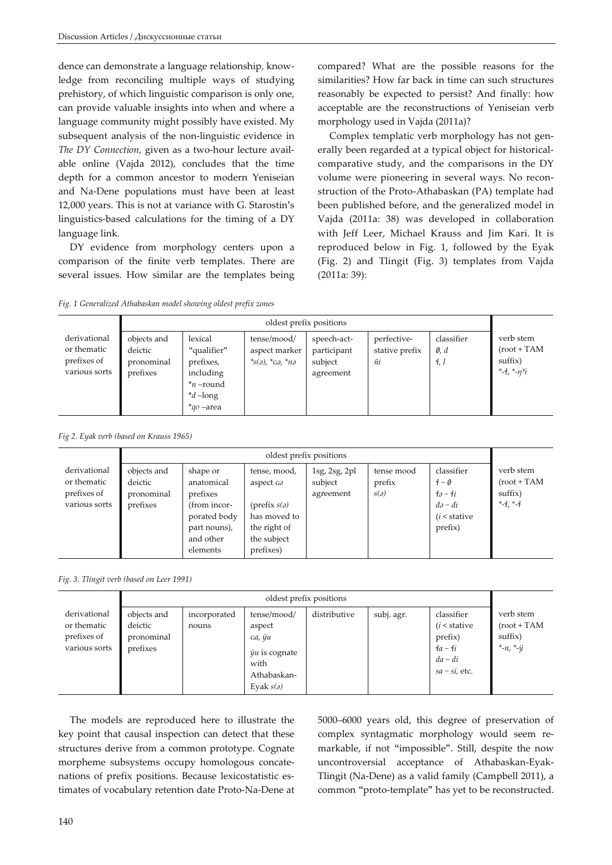dence can demonstrate a language relationship, knowledge from reconciling multiple ways of studying prehistory, of which linguistic comparison is only one, can provide valuable insights into when and where a language community might possibly have existed. My subsequent analysis of the non-linguistic evidence in The DY Connection, given as a two-hour lecture available online (Vajda 2012), concludes that the time depth for a common ancestor to modern Yeniseian and Na-Dene populations must have been at least 12,000 years. This is not at variance with G. Starostin's linguistics-based calculations for the timing of a DY language link.

DY evidence from morphology centers upon a comparison of the finite verb templates. There are several issues. How similar are the templates being

Fig. 1 Generalized Athabaskan model showing oldest prefix zones

| compared? What are the possible reasons for the        |
|--------------------------------------------------------|
| similarities? How far back in time can such structures |
| reasonably be expected to persist? And finally: how    |
| acceptable are the reconstructions of Yeniseian verb   |
| morphology used in Vajda (2011a)?                      |

Complex templatic verb morphology has not generally been regarded at a typical object for historicalcomparative study, and the comparisons in the DY volume were pioneering in several ways. No reconstruction of the Proto-Athabaskan (PA) template had been published before, and the generalized model in Vajda (2011a: 38) was developed in collaboration with Jeff Leer, Michael Krauss and Jim Kari. It is reproduced below in Fig. 1, followed by the Eyak (Fig. 2) and Tlingit (Fig. 3) templates from Vajda (2011a: 39):

|                                                             | oldest prefix positions                          |                                                                                               |                                                                                 |                                                    |                                     |                                       |                                                                        |  |
|-------------------------------------------------------------|--------------------------------------------------|-----------------------------------------------------------------------------------------------|---------------------------------------------------------------------------------|----------------------------------------------------|-------------------------------------|---------------------------------------|------------------------------------------------------------------------|--|
| derivational<br>or thematic<br>prefixes of<br>various sorts | objects and<br>deictic<br>pronominal<br>prefixes | lexical<br>"qualifier"<br>prefixes,<br>including<br>$*_n$ -round<br>$*d$ –long<br>$*av$ -area | tense/mood/<br>aspect marker<br>$*_S(\partial)$ , $*_G\partial$ , $*_n\partial$ | speech-act-<br>participant<br>subject<br>agreement | perfective-<br>stative prefix<br>ñi | classifier<br>$\emptyset$ , d<br>t, l | verb stem<br>$(root + TAM$<br>suffix)<br>*-t, *- $\eta$ <sup>y</sup> i |  |

Fig 2. Eyak verb (based on Krauss 1965)

| oldest prefix positions                                     |                                                  |                                                                                                             |                                                                                                                    |                                               |                              |                                                                                                             |                                                              |
|-------------------------------------------------------------|--------------------------------------------------|-------------------------------------------------------------------------------------------------------------|--------------------------------------------------------------------------------------------------------------------|-----------------------------------------------|------------------------------|-------------------------------------------------------------------------------------------------------------|--------------------------------------------------------------|
| derivational<br>or thematic<br>prefixes of<br>various sorts | objects and<br>deictic<br>pronominal<br>prefixes | shape or<br>anatomical<br>prefixes<br>(from incor-<br>porated body<br>part nouns),<br>and other<br>elements | tense, mood,<br>aspect $G\partial$<br>(prefix $s(a)$ )<br>has moved to<br>the right of<br>the subject<br>prefixes) | $1sg$ , $2sg$ , $2pl$<br>subject<br>agreement | tense mood<br>prefix<br>s(a) | classifier<br>$4 \sim \emptyset$<br>$4\partial \sim 4i$<br>$d\partial \sim di$<br>$(i <$ stative<br>prefix) | verb stem<br>$(root + TAM)$<br>suffix)<br>$*$ - $4, *$ - $4$ |

Fig. 3. Tlingit verb (based on Leer 1991)

|                                                             | oldest prefix positions                          |                       |                                                                                                |              |            |                                                                                             |                                                            |
|-------------------------------------------------------------|--------------------------------------------------|-----------------------|------------------------------------------------------------------------------------------------|--------------|------------|---------------------------------------------------------------------------------------------|------------------------------------------------------------|
| derivational<br>or thematic<br>prefixes of<br>various sorts | objects and<br>deictic<br>pronominal<br>prefixes | incorporated<br>nouns | tense/mood/<br>aspect<br>Ga, ÿu<br><i>iju</i> is cognate<br>with<br>Athabaskan-<br>Eyak $s(a)$ | distributive | subj. agr. | classifier<br>$(i <$ stative<br>prefix)<br>$4a - 4i$<br>$da \sim di$<br>$sa \sim si$ , etc. | verb stem<br>$(root + TAM$<br>suffix)<br>$*_{-n, *_{-i}i}$ |

The models are reproduced here to illustrate the key point that causal inspection can detect that these structures derive from a common prototype. Cognate morpheme subsystems occupy homologous concatenations of prefix positions. Because lexicostatistic estimates of vocabulary retention date Proto-Na-Dene at 5000–6000 years old, this degree of preservation of complex syntagmatic morphology would seem remarkable, if not "impossible". Still, despite the now uncontroversial acceptance of Athabaskan-Eyak-Tlingit (Na-Dene) as a valid family (Campbell 2011), a common "proto-template" has yet to be reconstructed.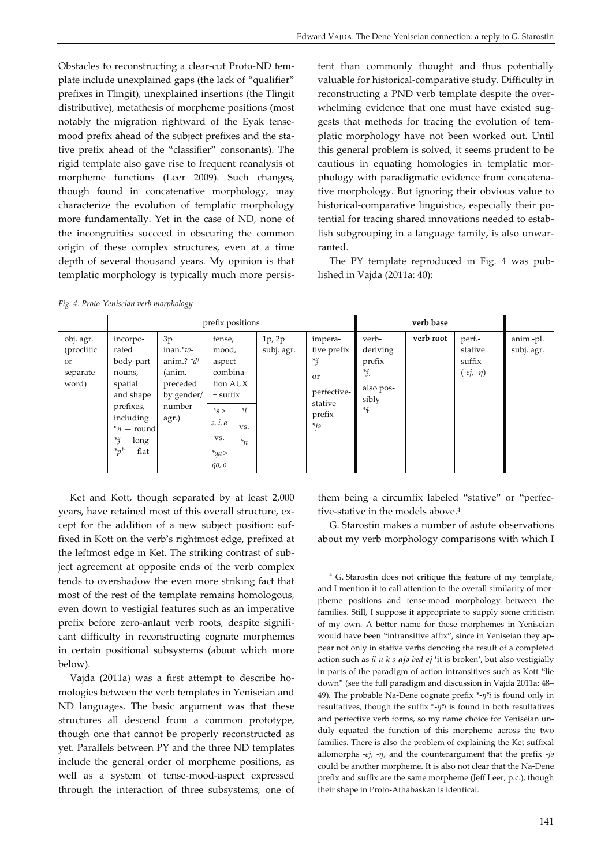Obstacles to reconstructing a clear-cut Proto-ND template include unexplained gaps (the lack of "qualifier" prefixes in Tlingit), unexplained insertions (the Tlingit distributive), metathesis of morpheme positions (most notably the migration rightward of the Eyak tensemood prefix ahead of the subject prefixes and the stative prefix ahead of the "classifier" consonants). The rigid template also gave rise to frequent reanalysis of morpheme functions (Leer 2009). Such changes, though found in concatenative morphology, may characterize the evolution of templatic morphology more fundamentally. Yet in the case of ND, none of the incongruities succeed in obscuring the common origin of these complex structures, even at a time depth of several thousand years. My opinion is that templatic morphology is typically much more persis-

tent than commonly thought and thus potentially valuable for historical-comparative study. Difficulty in reconstructing a PND verb template despite the overwhelming evidence that one must have existed suggests that methods for tracing the evolution of templatic morphology have not been worked out. Until this general problem is solved, it seems prudent to be cautious in equating homologies in templatic morphology with paradigmatic evidence from concatenative morphology. But ignoring their obvious value to historical-comparative linguistics, especially their potential for tracing shared innovations needed to establish subgrouping in a language family, is also unwarranted.

The PY template reproduced in Fig. 4 was published in Vajda (2011a: 40):

Fig. 4. Proto-Yeniseian verb morphology

|                                                               |                                                                                                                                                                     |                                                                                           | prefix positions                                                                                                                          |                      |                                                                                                                       | verb base                                                                                  |           |                                            |                         |
|---------------------------------------------------------------|---------------------------------------------------------------------------------------------------------------------------------------------------------------------|-------------------------------------------------------------------------------------------|-------------------------------------------------------------------------------------------------------------------------------------------|----------------------|-----------------------------------------------------------------------------------------------------------------------|--------------------------------------------------------------------------------------------|-----------|--------------------------------------------|-------------------------|
| obj. agr.<br>(proclitic<br><sub>or</sub><br>separate<br>word) | incorpo-<br>rated<br>body-part<br>nouns,<br>spatial<br>and shape<br>prefixes,<br>including<br>$n - round$<br>$\check{\tilde{\mathrm{3}}}$ — long<br>$*_{p}h$ – flat | 3p<br>$inan.*w-$<br>anim.? $*dj$ -<br>(anim.<br>preceded<br>by gender/<br>number<br>agr.) | tense,<br>mood,<br>aspect<br>combina-<br>tion AUX<br>$+$ suffix<br>$*_{l}$<br>$*_S$<br>s, i, a<br>VS.<br>VS.<br>$*_n$<br>$*qa >$<br>qo, o | 1p, 2p<br>subj. agr. | impera-<br>tive prefix<br>$*_{\widetilde{3}}$<br><sub>or</sub><br>perfective-<br>stative<br>prefix<br>$*_{j\partial}$ | verb-<br>deriving<br>prefix<br>$*_{\check{3},}$<br>also pos-<br>sibly<br>$*_{\mathcal{L}}$ | verb root | perf.-<br>stative<br>suffix<br>$(-ej, -η)$ | anim.-pl.<br>subj. agr. |

Ket and Kott, though separated by at least 2,000 years, have retained most of this overall structure, except for the addition of a new subject position: suffixed in Kott on the verb's rightmost edge, prefixed at the leftmost edge in Ket. The striking contrast of subject agreement at opposite ends of the verb complex tends to overshadow the even more striking fact that most of the rest of the template remains homologous, even down to vestigial features such as an imperative prefix before zero-anlaut verb roots, despite significant difficulty in reconstructing cognate morphemes in certain positional subsystems (about which more below).

Vajda (2011a) was a first attempt to describe homologies between the verb templates in Yeniseian and ND languages. The basic argument was that these structures all descend from a common prototype, though one that cannot be properly reconstructed as yet. Parallels between PY and the three ND templates include the general order of morpheme positions, as well as a system of tense-mood-aspect expressed through the interaction of three subsystems, one of them being a circumfix labeled "stative" or "perfective-stative in the models above.<sup>4</sup>

G. Starostin makes a number of astute observations about my verb morphology comparisons with which I

<sup>4</sup> G. Starostin does not critique this feature of my template, and I mention it to call attention to the overall similarity of morpheme positions and tense-mood morphology between the families. Still, I suppose it appropriate to supply some criticism of my own. A better name for these morphemes in Yeniseian would have been "intransitive affix", since in Yeniseian they appear not only in stative verbs denoting the result of a completed action such as  $il-u-k-s-aja-bed-ej$  'it is broken', but also vestigially in parts of the paradigm of action intransitives such as Kott "lie down" (see the full paradigm and discussion in Vajda 2011a: 48– 49). The probable Na-Dene cognate prefix  $*$ - $\eta$ <sup>y</sup>i is found only in resultatives, though the suffix  $*$ - $\eta$ <sup>y</sup>i is found in both resultatives and perfective verb forms, so my name choice for Yeniseian unduly equated the function of this morpheme across the two families. There is also the problem of explaining the Ket suffixal allomorphs  $-ej$ ,  $-\eta$ , and the counterargument that the prefix  $- j \partial \theta$ could be another morpheme. It is also not clear that the Na-Dene prefix and suffix are the same morpheme (Jeff Leer, p.c.), though their shape in Proto-Athabaskan is identical.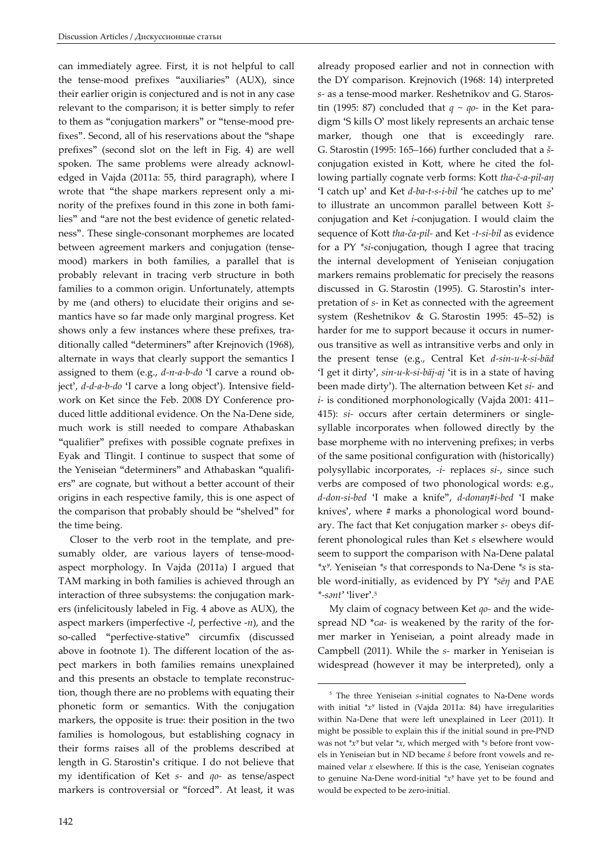can immediately agree. First, it is not helpful to call the tense-mood prefixes "auxiliaries" (AUX), since their earlier origin is conjectured and is not in any case relevant to the comparison; it is better simply to refer to them as "conjugation markers" or "tense-mood prefixes". Second, all of his reservations about the "shape prefixes" (second slot on the left in Fig. 4) are well spoken. The same problems were already acknowledged in Vajda (2011a: 55, third paragraph), where I wrote that "the shape markers represent only a minority of the prefixes found in this zone in both families" and "are not the best evidence of genetic relatedness". These single-consonant morphemes are located between agreement markers and conjugation (tensemood) markers in both families, a parallel that is probably relevant in tracing verb structure in both families to a common origin. Unfortunately, attempts by me (and others) to elucidate their origins and semantics have so far made only marginal progress. Ket shows only a few instances where these prefixes, traditionally called "determiners" after Krejnovich (1968), alternate in ways that clearly support the semantics I assigned to them (e.g.,  $d-n-a-b-do$  'I carve a round object', d-d-a-b-do 'I carve a long object'). Intensive fieldwork on Ket since the Feb. 2008 DY Conference produced little additional evidence. On the Na-Dene side, much work is still needed to compare Athabaskan "qualifier" prefixes with possible cognate prefixes in Eyak and Tlingit. I continue to suspect that some of the Yeniseian "determiners" and Athabaskan "qualifiers" are cognate, but without a better account of their origins in each respective family, this is one aspect of the comparison that probably should be "shelved" for the time being.

Closer to the verb root in the template, and presumably older, are various layers of tense-moodaspect morphology. In Vajda (2011a) I argued that TAM marking in both families is achieved through an interaction of three subsystems: the conjugation markers (infelicitously labeled in Fig. 4 above as AUX), the aspect markers (imperfective  $-l$ , perfective  $-n$ ), and the so-called "perfective-stative" circumfix (discussed above in footnote 1). The different location of the aspect markers in both families remains unexplained and this presents an obstacle to template reconstruction, though there are no problems with equating their phonetic form or semantics. With the conjugation markers, the opposite is true: their position in the two families is homologous, but establishing cognacy in their forms raises all of the problems described at length in G. Starostin's critique. I do not believe that my identification of Ket  $s$ - and  $qo$ - as tense/aspect markers is controversial or "forced". At least, it was

already proposed earlier and not in connection with the DY comparison. Krejnovich (1968: 14) interpreted s- as a tense-mood marker. Reshetnikov and G. Starostin (1995: 87) concluded that  $q \sim q_0$ - in the Ket paradigm 'S kills O' most likely represents an archaic tense marker, though one that is exceedingly rare. G. Starostin (1995: 165–166) further concluded that a šconjugation existed in Kott, where he cited the following partially cognate verb forms: Kott tha-č-a-pil-an 'I catch up' and Ket *d-ba-t-s-i-bil* 'he catches up to me' to illustrate an uncommon parallel between Kott šconjugation and Ket i-conjugation. I would claim the sequence of Kott tha-ča-pil- and Ket -t-si-bil as evidence for a PY \*si-conjugation, though I agree that tracing the internal development of Yeniseian conjugation markers remains problematic for precisely the reasons discussed in G. Starostin (1995). G. Starostin's interpretation of  $s$ - in Ket as connected with the agreement system (Reshetnikov & G. Starostin 1995: 45–52) is harder for me to support because it occurs in numerous transitive as well as intransitive verbs and only in the present tense (e.g., Central Ket d-sin-u-k-si-bäd 'I get it dirty', sin-u-k-si-bäj-aj 'it is in a state of having been made dirty'). The alternation between Ket si- and  $i$ - is conditioned morphonologically (Vajda 2001: 411– 415): si- occurs after certain determiners or singlesyllable incorporates when followed directly by the base morpheme with no intervening prefixes; in verbs of the same positional configuration with (historically) polysyllabic incorporates, -i- replaces si-, since such verbs are composed of two phonological words: e.g., d-don-si-bed 'I make a knife", d-donan#i-bed 'I make knives', where # marks a phonological word boundary. The fact that Ket conjugation marker s- obeys different phonological rules than Ket s elsewhere would seem to support the comparison with Na-Dene palatal  $*x^y$ . Yeniseian  $*s$  that corresponds to Na-Dene  $*s$  is stable word-initially, as evidenced by  $PY * s\bar{e}\eta$  and  $PAE$ \*snt' 'liver'.<sup>5</sup>

My claim of cognacy between Ket  $qo$ - and the widespread ND  $*$ Ga- is weakened by the rarity of the former marker in Yeniseian, a point already made in Campbell (2011). While the  $s$ - marker in Yeniseian is widespread (however it may be interpreted), only a

<sup>&</sup>lt;sup>5</sup> The three Yeniseian s-initial cognates to Na-Dene words with initial  $*x^y$  listed in (Vajda 2011a: 84) have irregularities within Na-Dene that were left unexplained in Leer (2011). It might be possible to explain this if the initial sound in pre-PND was not  $*x^y$  but velar  $*x$ , which merged with  $*s$  before front vowels in Yeniseian but in ND became š before front vowels and remained velar  $x$  elsewhere. If this is the case, Yeniseian cognates to genuine Na-Dene word-initial  $*x^y$  have yet to be found and would be expected to be zero-initial.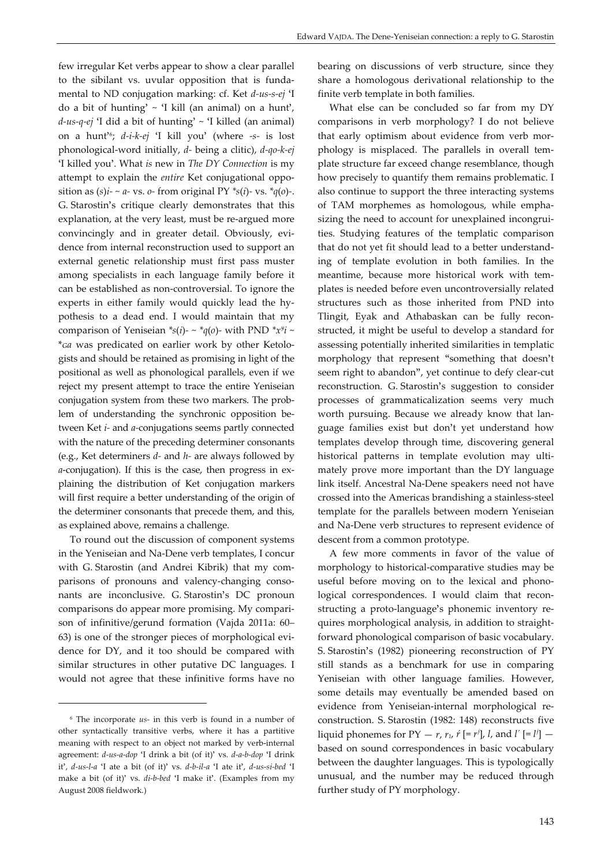few irregular Ket verbs appear to show a clear parallel to the sibilant vs. uvular opposition that is fundamental to ND conjugation marking: cf. Ket d-us-s-ej 'I do a bit of hunting'  $\sim$  'I kill (an animal) on a hunt',  $d$ -us-q-ej 'I did a bit of hunting' ~ 'I killed (an animal) on a hunt'<sup>6</sup>; d-i-k-ej 'I kill you' (where -s- is lost phonological-word initially,  $d$ - being a clitic),  $d$ -qo-k-ej 'I killed you'. What is new in The DY Connection is my attempt to explain the entire Ket conjugational opposition as  $(s)i$  ~ a- vs. o- from original PY  $^*s(i)$ - vs.  $^*q(o)$ -. G. Starostin's critique clearly demonstrates that this explanation, at the very least, must be re-argued more convincingly and in greater detail. Obviously, evidence from internal reconstruction used to support an external genetic relationship must first pass muster among specialists in each language family before it can be established as non-controversial. To ignore the experts in either family would quickly lead the hypothesis to a dead end. I would maintain that my comparison of Yeniseian  $*_s(i)$ -  $~*_q(o)$ - with PND  $*_x*_i$  ~ \*a was predicated on earlier work by other Ketologists and should be retained as promising in light of the positional as well as phonological parallels, even if we reject my present attempt to trace the entire Yeniseian conjugation system from these two markers. The problem of understanding the synchronic opposition between Ket  $i$ - and  $a$ -conjugations seems partly connected with the nature of the preceding determiner consonants (e.g., Ket determiners  $d$ - and  $h$ - are always followed by a-conjugation). If this is the case, then progress in explaining the distribution of Ket conjugation markers will first require a better understanding of the origin of the determiner consonants that precede them, and this, as explained above, remains a challenge.

To round out the discussion of component systems in the Yeniseian and Na-Dene verb templates, I concur with G. Starostin (and Andrei Kibrik) that my comparisons of pronouns and valency-changing consonants are inconclusive. G. Starostin's DC pronoun comparisons do appear more promising. My comparison of infinitive/gerund formation (Vajda 2011a: 60– 63) is one of the stronger pieces of morphological evidence for DY, and it too should be compared with similar structures in other putative DC languages. I would not agree that these infinitive forms have no bearing on discussions of verb structure, since they share a homologous derivational relationship to the finite verb template in both families.

What else can be concluded so far from my DY comparisons in verb morphology? I do not believe that early optimism about evidence from verb morphology is misplaced. The parallels in overall template structure far exceed change resemblance, though how precisely to quantify them remains problematic. I also continue to support the three interacting systems of TAM morphemes as homologous, while emphasizing the need to account for unexplained incongruities. Studying features of the templatic comparison that do not yet fit should lead to a better understanding of template evolution in both families. In the meantime, because more historical work with templates is needed before even uncontroversially related structures such as those inherited from PND into Tlingit, Eyak and Athabaskan can be fully reconstructed, it might be useful to develop a standard for assessing potentially inherited similarities in templatic morphology that represent "something that doesn't seem right to abandon", yet continue to defy clear-cut reconstruction. G. Starostin's suggestion to consider processes of grammaticalization seems very much worth pursuing. Because we already know that language families exist but don't yet understand how templates develop through time, discovering general historical patterns in template evolution may ultimately prove more important than the DY language link itself. Ancestral Na-Dene speakers need not have crossed into the Americas brandishing a stainless-steel template for the parallels between modern Yeniseian and Na-Dene verb structures to represent evidence of descent from a common prototype.

A few more comments in favor of the value of morphology to historical-comparative studies may be useful before moving on to the lexical and phonological correspondences. I would claim that reconstructing a proto-language's phonemic inventory requires morphological analysis, in addition to straightforward phonological comparison of basic vocabulary. S. Starostin's (1982) pioneering reconstruction of PY still stands as a benchmark for use in comparing Yeniseian with other language families. However, some details may eventually be amended based on evidence from Yeniseian-internal morphological reconstruction. S. Starostin (1982: 148) reconstructs five liquid phonemes for  $PY - r$ ,  $r_1$ ,  $\acute{r}$  [=  $r^j$ ], *l*, and *l'* [=  $l^j$ ] based on sound correspondences in basic vocabulary between the daughter languages. This is typologically unusual, and the number may be reduced through further study of PY morphology.

 $6$  The incorporate us- in this verb is found in a number of other syntactically transitive verbs, where it has a partitive meaning with respect to an object not marked by verb-internal agreement: d-us-a-dop 'I drink a bit (of it)' vs. d-a-b-dop 'I drink it', d-us-l-a 'I ate a bit (of it)' vs. d-b-il-a 'I ate it', d-us-si-bed 'I make a bit (of it)' vs. di-b-bed 'I make it'. (Examples from my August 2008 fieldwork.)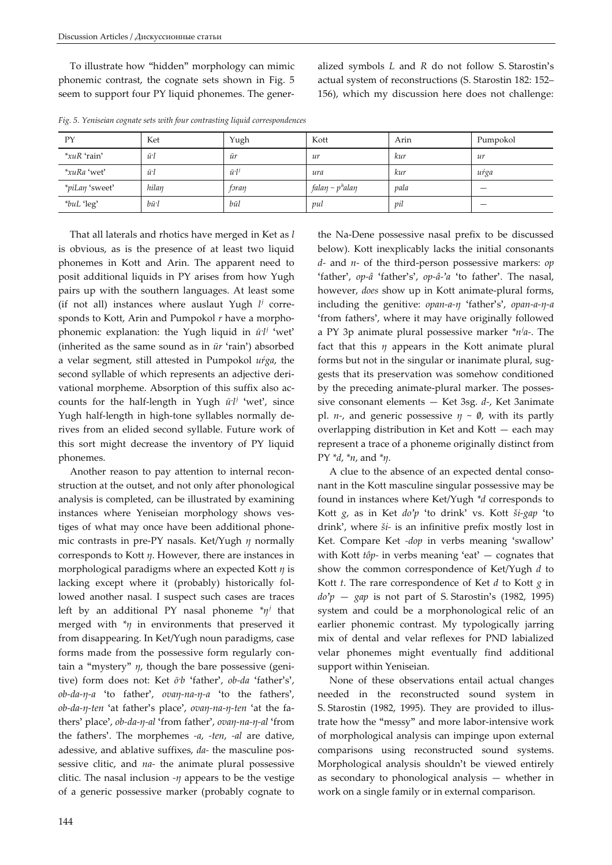To illustrate how "hidden" morphology can mimic phonemic contrast, the cognate sets shown in Fig. 5 seem to support four PY liquid phonemes. The generalized symbols L and R do not follow S. Starostin's actual system of reconstructions (S. Starostin 182: 152– 156), which my discussion here does not challenge:

|  |  |  |  |  |  | Fig. 5. Yeniseian cognate sets with four contrasting liquid correspondences |
|--|--|--|--|--|--|-----------------------------------------------------------------------------|
|--|--|--|--|--|--|-----------------------------------------------------------------------------|

| PY                 | Ket                       | Yugh                                    | Kott                               | Arin | Pumpokol |
|--------------------|---------------------------|-----------------------------------------|------------------------------------|------|----------|
| $*_{xu}R$ 'rain'   | ū·l                       | ūr                                      | ur                                 | kur  | ur       |
| <i>*xuRa</i> 'wet' | ū·l                       | $\bar{u}$ <sup>-</sup> $l$ <sup>j</sup> | ura                                | kur  | uŕga     |
| *piLan 'sweet'     | hilan                     | fəran                                   | $f$ ala $\eta \sim p^h$ ala $\eta$ | pala | _        |
| *buL 'leg'         | $b\bar{u}$ <sup>-</sup> l | būl                                     | pul                                | pil  | _        |

That all laterals and rhotics have merged in Ket as l is obvious, as is the presence of at least two liquid phonemes in Kott and Arin. The apparent need to posit additional liquids in PY arises from how Yugh pairs up with the southern languages. At least some (if not all) instances where auslaut Yugh  $l^j$  corresponds to Kott, Arin and Pumpokol  $r$  have a morphophonemic explanation: the Yugh liquid in  $\bar{u}$ <sup> $l$ *i*</sup> 'wet' (inherited as the same sound as in  $\bar{u}r$  'rain') absorbed a velar segment, still attested in Pumpokol uŕga, the second syllable of which represents an adjective derivational morpheme. Absorption of this suffix also accounts for the half-length in Yugh  $\bar{u}$ <sup>l</sup> 'wet', since Yugh half-length in high-tone syllables normally derives from an elided second syllable. Future work of this sort might decrease the inventory of PY liquid phonemes.

Another reason to pay attention to internal reconstruction at the outset, and not only after phonological analysis is completed, can be illustrated by examining instances where Yeniseian morphology shows vestiges of what may once have been additional phonemic contrasts in pre-PY nasals. Ket/Yugh  $\eta$  normally corresponds to Kott  $\eta$ . However, there are instances in morphological paradigms where an expected Kott  $\eta$  is lacking except where it (probably) historically followed another nasal. I suspect such cases are traces left by an additional PY nasal phoneme  $*_{\eta}$  that merged with  $*_\eta$  in environments that preserved it from disappearing. In Ket/Yugh noun paradigms, case forms made from the possessive form regularly contain a "mystery"  $\eta$ , though the bare possessive (genitive) form does not: Ket  $\bar{\sigma}$ b 'father', ob-da 'father's',  $ob-da-\eta-a$  'to father', ovan-na- $\eta-a$  'to the fathers', ob-da-η-ten 'at father's place', ovaη-na-η-ten 'at the fathers' place', ob-da- $\eta$ -al 'from father', ova $\eta$ -na- $\eta$ -al 'from the fathers'. The morphemes  $-a$ ,  $-ten$ ,  $-al$  are dative, adessive, and ablative suffixes,  $da$ - the masculine possessive clitic, and na- the animate plural possessive clitic. The nasal inclusion  $-\eta$  appears to be the vestige of a generic possessive marker (probably cognate to

the Na-Dene possessive nasal prefix to be discussed below). Kott inexplicably lacks the initial consonants  $d$ - and  $n$ - of the third-person possessive markers: op 'father', op-â 'father's', op-â-'a 'to father'. The nasal, however, does show up in Kott animate-plural forms, including the genitive: opan-a- $\eta$  'father's', opan-a- $\eta$ -a 'from fathers', where it may have originally followed a PY 3p animate plural possessive marker  $n/a$ . The fact that this  $\eta$  appears in the Kott animate plural forms but not in the singular or inanimate plural, suggests that its preservation was somehow conditioned by the preceding animate-plural marker. The possessive consonant elements  $-$  Ket 3sg.  $d$ -, Ket 3animate pl. *n*-, and generic possessive  $\eta \sim \emptyset$ , with its partly overlapping distribution in Ket and Kott — each may represent a trace of a phoneme originally distinct from PY  $*d$ ,  $*_{n}$ , and  $*_{n}$ .

A clue to the absence of an expected dental consonant in the Kott masculine singular possessive may be found in instances where Ket/Yugh \*d corresponds to Kott  $g$ , as in Ket  $do$ 'p 'to drink' vs. Kott ši-gap 'to drink', where  $\check{s}i$ - is an infinitive prefix mostly lost in Ket. Compare Ket -dop in verbs meaning 'swallow' with Kott  $t\hat{o}p$ - in verbs meaning 'eat'  $-$  cognates that show the common correspondence of Ket/Yugh d to Kott  $t$ . The rare correspondence of Ket  $d$  to Kott  $g$  in  $do<sup>2</sup>p - gap$  is not part of S. Starostin's (1982, 1995) system and could be a morphonological relic of an earlier phonemic contrast. My typologically jarring mix of dental and velar reflexes for PND labialized velar phonemes might eventually find additional support within Yeniseian.

None of these observations entail actual changes needed in the reconstructed sound system in S. Starostin (1982, 1995). They are provided to illustrate how the "messy" and more labor-intensive work of morphological analysis can impinge upon external comparisons using reconstructed sound systems. Morphological analysis shouldn't be viewed entirely as secondary to phonological analysis — whether in work on a single family or in external comparison.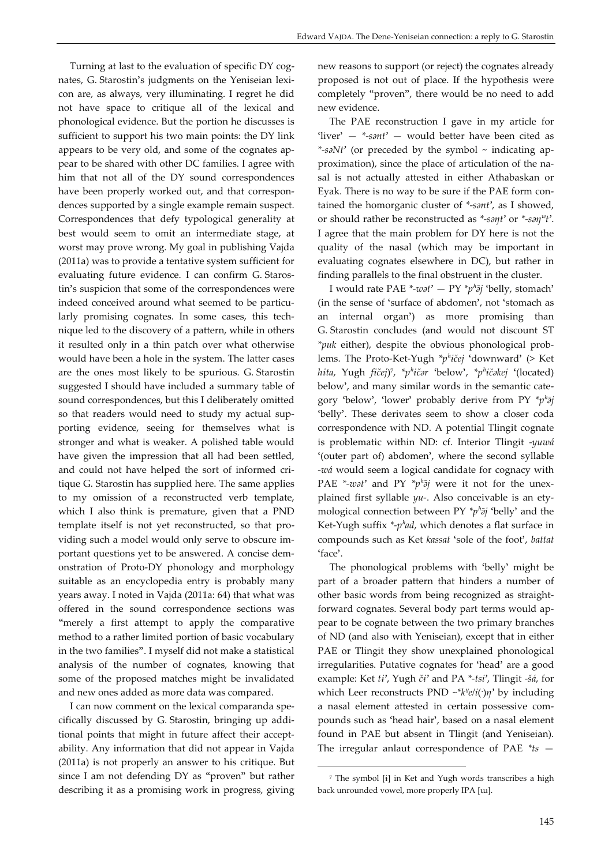Turning at last to the evaluation of specific DY cognates, G. Starostin's judgments on the Yeniseian lexicon are, as always, very illuminating. I regret he did not have space to critique all of the lexical and phonological evidence. But the portion he discusses is sufficient to support his two main points: the DY link appears to be very old, and some of the cognates appear to be shared with other DC families. I agree with him that not all of the DY sound correspondences have been properly worked out, and that correspondences supported by a single example remain suspect. Correspondences that defy typological generality at best would seem to omit an intermediate stage, at worst may prove wrong. My goal in publishing Vajda (2011a) was to provide a tentative system sufficient for evaluating future evidence. I can confirm G. Starostin's suspicion that some of the correspondences were indeed conceived around what seemed to be particularly promising cognates. In some cases, this technique led to the discovery of a pattern, while in others it resulted only in a thin patch over what otherwise would have been a hole in the system. The latter cases are the ones most likely to be spurious. G. Starostin suggested I should have included a summary table of sound correspondences, but this I deliberately omitted so that readers would need to study my actual supporting evidence, seeing for themselves what is stronger and what is weaker. A polished table would have given the impression that all had been settled, and could not have helped the sort of informed critique G. Starostin has supplied here. The same applies to my omission of a reconstructed verb template, which I also think is premature, given that a PND template itself is not yet reconstructed, so that providing such a model would only serve to obscure important questions yet to be answered. A concise demonstration of Proto-DY phonology and morphology suitable as an encyclopedia entry is probably many years away. I noted in Vajda (2011a: 64) that what was offered in the sound correspondence sections was "merely a first attempt to apply the comparative method to a rather limited portion of basic vocabulary in the two families". I myself did not make a statistical analysis of the number of cognates, knowing that some of the proposed matches might be invalidated and new ones added as more data was compared.

I can now comment on the lexical comparanda specifically discussed by G. Starostin, bringing up additional points that might in future affect their acceptability. Any information that did not appear in Vajda (2011a) is not properly an answer to his critique. But since I am not defending DY as "proven" but rather describing it as a promising work in progress, giving new reasons to support (or reject) the cognates already proposed is not out of place. If the hypothesis were completely "proven", there would be no need to add new evidence.

The PAE reconstruction I gave in my article for 'liver'  $-$  \*-sant'  $-$  would better have been cited as \*-saNt' (or preceded by the symbol  $\sim$  indicating approximation), since the place of articulation of the nasal is not actually attested in either Athabaskan or Eyak. There is no way to be sure if the PAE form contained the homorganic cluster of  $*$ -sant', as I showed, or should rather be reconstructed as  $*$ -sant' or  $*$ -san<sup>tu</sup>t'. I agree that the main problem for DY here is not the quality of the nasal (which may be important in evaluating cognates elsewhere in DC), but rather in finding parallels to the final obstruent in the cluster.

ding parallels to the final obstruent in the cluster.<br>I would rate PAE \*-wət' — PY \*p<sup>h</sup>əj 'belly, stomach' (in the sense of 'surface of abdomen', not 'stomach as an internal organ') as more promising than G. Starostin concludes (and would not discount ST \*puk either), despite the obvious phonological problems. The Proto-Ket-Yugh  $^{*}p^{h}i\check{c}ej$  'downward' (> Ket hita, Yugh fičej)<sup>7</sup>, \*p<sup>h</sup>ičar 'below', \*phičakej '(located) below', and many similar words in the semantic catebelow', and many similar words in the semantic cate-<br>gory 'below', 'lower' probably derive from PY \*p<sup>h</sup>āj 'belly'. These derivates seem to show a closer coda correspondence with ND. A potential Tlingit cognate is problematic within ND: cf. Interior Tlingit -yuwá '(outer part of) abdomen', where the second syllable *-wá* would seem a logical candidate for cognacy with *-wa* would seem a logical candidate for cognacy with<br>PAE \*-*wat'* and PY \**p<sup>h</sup>āj* were it not for the unexplained first syllable  $y$ u-. Also conceivable is an etyplained first syllable *yu*-. Also conceivable is an ety-<br>mological connection between PY \*p<sup>h</sup><sup>j</sup> belly' and the Ket-Yugh suffix  $*$ - $p<sup>h</sup>ad$ , which denotes a flat surface in compounds such as Ket kassat 'sole of the foot', battat 'face'.

The phonological problems with 'belly' might be part of a broader pattern that hinders a number of other basic words from being recognized as straightforward cognates. Several body part terms would appear to be cognate between the two primary branches of ND (and also with Yeniseian), except that in either PAE or Tlingit they show unexplained phonological irregularities. Putative cognates for 'head' are a good example: Ket ti', Yugh či' and PA \*-tsi', Tlingit -šá, for which Leer reconstructs PND ~\*k<sup>y</sup>e/i(·)η' by including a nasal element attested in certain possessive compounds such as 'head hair', based on a nasal element found in PAE but absent in Tlingit (and Yeniseian). The irregular anlaut correspondence of PAE  $*$ ts  $-$ 

<sup>&</sup>lt;sup>7</sup> The symbol [i] in Ket and Yugh words transcribes a high back unrounded vowel, more properly IPA [u].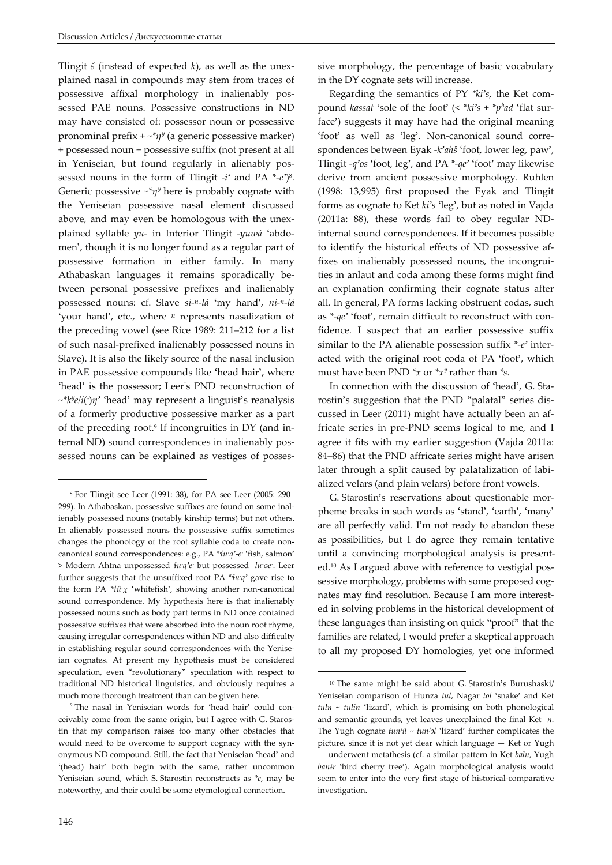Tlingit  $\check{s}$  (instead of expected  $k$ ), as well as the unexplained nasal in compounds may stem from traces of possessive affixal morphology in inalienably possessed PAE nouns. Possessive constructions in ND may have consisted of: possessor noun or possessive pronominal prefix +  $\sim$ \* $\eta$ <sup>y</sup> (a generic possessive marker) + possessed noun + possessive suffix (not present at all in Yeniseian, but found regularly in alienably possessed nouns in the form of Tlingit  $-i'$  and PA  $*_-e'$ )<sup>8</sup>. Generic possessive  $\sim^*\!\eta^y$  here is probably cognate with the Yeniseian possessive nasal element discussed above, and may even be homologous with the unexplained syllable  $yu$ - in Interior Tlingit - $yuwá$  'abdomen', though it is no longer found as a regular part of possessive formation in either family. In many Athabaskan languages it remains sporadically between personal possessive prefixes and inalienably possessed nouns: cf. Slave  $si$ <sup>-n-</sup>lá 'my hand',  $ni$ -n-lá 'your hand', etc., where  $n$  represents nasalization of the preceding vowel (see Rice 1989: 211–212 for a list of such nasal-prefixed inalienably possessed nouns in Slave). It is also the likely source of the nasal inclusion in PAE possessive compounds like 'head hair', where 'head' is the possessor; Leer's PND reconstruction of ~\*k<sup>y</sup>e/i(·)ŋ' 'head' may represent a linguist's reanalysis of a formerly productive possessive marker as a part of the preceding root.<sup>9</sup> If incongruities in DY (and internal ND) sound correspondences in inalienably possessed nouns can be explained as vestiges of posses-

sive morphology, the percentage of basic vocabulary in the DY cognate sets will increase.

Regarding the semantics of PY  $*ki's$ , the Ket compound kassat 'sole of the foot'  $\langle \cdot \cdot \cdot k_i \cdot s + \cdot \cdot \cdot \cdot \rangle$  'flat surface') suggests it may have had the original meaning 'foot' as well as 'leg'. Non-canonical sound correspondences between Eyak -k'ahš 'foot, lower leg, paw', Tlingit  $-q'$ os 'foot, leg', and PA  $*$ -qe' 'foot' may likewise derive from ancient possessive morphology. Ruhlen (1998: 13,995) first proposed the Eyak and Tlingit forms as cognate to Ket ki's 'leg', but as noted in Vajda (2011a: 88), these words fail to obey regular NDinternal sound correspondences. If it becomes possible to identify the historical effects of ND possessive affixes on inalienably possessed nouns, the incongruities in anlaut and coda among these forms might find an explanation confirming their cognate status after all. In general, PA forms lacking obstruent codas, such as \*-qe' 'foot', remain difficult to reconstruct with confidence. I suspect that an earlier possessive suffix similar to the PA alienable possession suffix  $*_-e'$  interacted with the original root coda of PA 'foot', which must have been PND  ${}^*\! x$  or  ${}^*\! x^y$  rather than  ${}^* \! s.$ 

In connection with the discussion of 'head', G. Starostin's suggestion that the PND "palatal" series discussed in Leer (2011) might have actually been an affricate series in pre-PND seems logical to me, and I agree it fits with my earlier suggestion (Vajda 2011a: 84–86) that the PND affricate series might have arisen later through a split caused by palatalization of labialized velars (and plain velars) before front vowels.

G. Starostin's reservations about questionable morpheme breaks in such words as 'stand', 'earth', 'many' are all perfectly valid. I'm not ready to abandon these as possibilities, but I do agree they remain tentative until a convincing morphological analysis is presented.<sup>10</sup> As I argued above with reference to vestigial possessive morphology, problems with some proposed cognates may find resolution. Because I am more interested in solving problems in the historical development of these languages than insisting on quick "proof" that the families are related, I would prefer a skeptical approach to all my proposed DY homologies, yet one informed

<sup>8</sup> For Tlingit see Leer (1991: 38), for PA see Leer (2005: 290– 299). In Athabaskan, possessive suffixes are found on some inalienably possessed nouns (notably kinship terms) but not others. In alienably possessed nouns the possessive suffix sometimes changes the phonology of the root syllable coda to create noncanonical sound correspondences: e.g., PA \* +u<sup>q'-e</sup>' 'fish, salmon' > Modern Ahtna unpossessed *łu*q'e<sup>*r*</sup> but possessed -lu<sup>ce</sup>. Leer further suggests that the unsuffixed root PA  $* uq'$  gave rise to the form PA  $*$ *łû* $\chi$  'whitefish', showing another non-canonical sound correspondence. My hypothesis here is that inalienably possessed nouns such as body part terms in ND once contained possessive suffixes that were absorbed into the noun root rhyme, causing irregular correspondences within ND and also difficulty in establishing regular sound correspondences with the Yeniseian cognates. At present my hypothesis must be considered speculation, even "revolutionary" speculation with respect to traditional ND historical linguistics, and obviously requires a much more thorough treatment than can be given here.

<sup>9</sup> The nasal in Yeniseian words for 'head hair' could conceivably come from the same origin, but I agree with G. Starostin that my comparison raises too many other obstacles that would need to be overcome to support cognacy with the synonymous ND compound. Still, the fact that Yeniseian 'head' and '(head) hair' both begin with the same, rather uncommon Yeniseian sound, which S. Starostin reconstructs as \*c, may be noteworthy, and their could be some etymological connection.

<sup>10</sup> The same might be said about G. Starostin's Burushaski/ Yeniseian comparison of Hunza tul, Nagar tol 'snake' and Ket  $tuh \sim tulin$  'lizard', which is promising on both phonological and semantic grounds, yet leaves unexplained the final Ket  $-n$ . The Yugh cognate  $tun'il \sim tun'ol$  'lizard' further complicates the picture, since it is not yet clear which language — Ket or Yugh — underwent metathesis (cf. a similar pattern in Ket baln, Yugh banir 'bird cherry tree'). Again morphological analysis would seem to enter into the very first stage of historical-comparative investigation.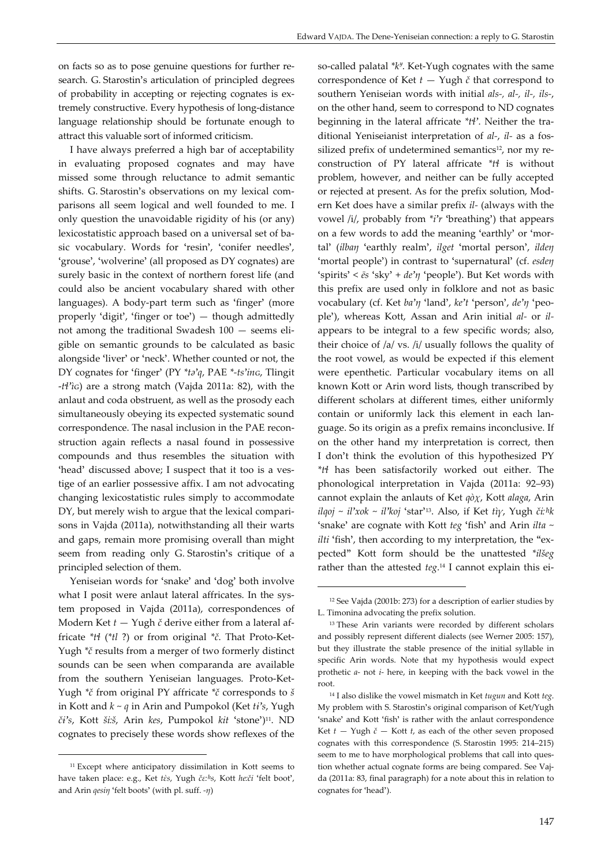on facts so as to pose genuine questions for further research. G. Starostin's articulation of principled degrees of probability in accepting or rejecting cognates is extremely constructive. Every hypothesis of long-distance language relationship should be fortunate enough to attract this valuable sort of informed criticism.

I have always preferred a high bar of acceptability in evaluating proposed cognates and may have missed some through reluctance to admit semantic shifts. G. Starostin's observations on my lexical comparisons all seem logical and well founded to me. I only question the unavoidable rigidity of his (or any) lexicostatistic approach based on a universal set of basic vocabulary. Words for 'resin', 'conifer needles', 'grouse', 'wolverine' (all proposed as DY cognates) are surely basic in the context of northern forest life (and could also be ancient vocabulary shared with other languages). A body-part term such as 'finger' (more properly 'digit', 'finger or toe') — though admittedly not among the traditional Swadesh 100 — seems eligible on semantic grounds to be calculated as basic alongside 'liver' or 'neck'. Whether counted or not, the DY cognates for 'finger' (PY \*ta'q, PAE \*-ts'inc, Tlingit  $-t\mathfrak{f}'$ i $G$ ) are a strong match (Vajda 2011a: 82), with the anlaut and coda obstruent, as well as the prosody each simultaneously obeying its expected systematic sound correspondence. The nasal inclusion in the PAE reconstruction again reflects a nasal found in possessive compounds and thus resembles the situation with 'head' discussed above; I suspect that it too is a vestige of an earlier possessive affix. I am not advocating changing lexicostatistic rules simply to accommodate DY, but merely wish to argue that the lexical comparisons in Vajda (2011a), notwithstanding all their warts and gaps, remain more promising overall than might seem from reading only G. Starostin's critique of a principled selection of them.

Yeniseian words for 'snake' and 'dog' both involve what I posit were anlaut lateral affricates. In the system proposed in Vajda (2011a), correspondences of Modern Ket  $t -$  Yugh č derive either from a lateral affricate \*tɬ (\*tl ?) or from original \*č. That Proto-Ket-Yugh \*č results from a merger of two formerly distinct sounds can be seen when comparanda are available from the southern Yeniseian languages. Proto-Ket-Yugh \*č from original PY affricate \*č corresponds to š in Kott and  $k \sim q$  in Arin and Pumpokol (Ket  $ti's$ , Yugh č's, Kott šiːš, Arin kes, Pumpokol kit 'stone')<sup>11</sup>. ND cognates to precisely these words show reflexes of the

so-called palatal \*kʲ′. Ket-Yugh cognates with the same correspondence of Ket  $t - Y$ ugh  $\check{c}$  that correspond to southern Yeniseian words with initial als-, al-, il-, ils-, on the other hand, seem to correspond to ND cognates beginning in the lateral affricate \*t<sup>*ł*</sup>'. Neither the traditional Yeniseianist interpretation of al-, il- as a fossilized prefix of undetermined semantics<sup>12</sup>, nor my reconstruction of PY lateral affricate \*tɬ is without problem, however, and neither can be fully accepted or rejected at present. As for the prefix solution, Modern Ket does have a similar prefix il- (always with the vowel  $\frac{1}{l}$ , probably from  $\frac{1}{l}$  'breathing') that appears on a few words to add the meaning 'earthly' or 'mortal' (ilban 'earthly realm', ilget 'mortal person', ilden 'mortal people') in contrast to 'supernatural' (cf. esdeŋ 'spirits' <  $\bar{e}$ s 'sky' +  $de^{\prime}$ η 'people'). But Ket words with this prefix are used only in folklore and not as basic vocabulary (cf. Ket ba'ŋ 'land', ke't 'person', de'ŋ 'people'), whereas Kott, Assan and Arin initial al- or ilappears to be integral to a few specific words; also, their choice of /a/ vs. /i/ usually follows the quality of the root vowel, as would be expected if this element were epenthetic. Particular vocabulary items on all known Kott or Arin word lists, though transcribed by different scholars at different times, either uniformly contain or uniformly lack this element in each language. So its origin as a prefix remains inconclusive. If on the other hand my interpretation is correct, then I don't think the evolution of this hypothesized PY \*tɬ has been satisfactorily worked out either. The phonological interpretation in Vajda (2011a: 92–93) cannot explain the anlauts of Ket  $q\partial\chi$ , Kott alaga, Arin  $ilqoj \sim il'xok \sim il'koj 'star' <sup>13</sup>$ . Also, if Ket  $ti\gamma$ , Yugh či: $h$ k 'snake' are cognate with Kott teg 'fish' and Arin ilta ~ ilti 'fish', then according to my interpretation, the "expected" Kott form should be the unattested \*ilšeg rather than the attested teg.<sup>14</sup> I cannot explain this ei-

<sup>&</sup>lt;sup>11</sup> Except where anticipatory dissimilation in Kott seems to have taken place: e.g., Ket tès, Yugh čεːhs, Kott heːči 'felt boot', and Arin  $qesi\eta$  'felt boots' (with pl. suff. - $\eta$ )

<sup>12</sup> See Vajda (2001b: 273) for a description of earlier studies by L. Timonina advocating the prefix solution.

<sup>&</sup>lt;sup>13</sup> These Arin variants were recorded by different scholars and possibly represent different dialects (see Werner 2005: 157), but they illustrate the stable presence of the initial syllable in specific Arin words. Note that my hypothesis would expect prothetic  $a$ - not  $i$ - here, in keeping with the back vowel in the root.

 $14$  I also dislike the vowel mismatch in Ket tugun and Kott teg. My problem with S. Starostin's original comparison of Ket/Yugh 'snake' and Kott 'fish' is rather with the anlaut correspondence Ket  $t - Y$ ugh  $\check{c}$  – Kott  $t$ , as each of the other seven proposed cognates with this correspondence (S. Starostin 1995: 214–215) seem to me to have morphological problems that call into question whether actual cognate forms are being compared. See Vajda (2011a: 83, final paragraph) for a note about this in relation to cognates for 'head').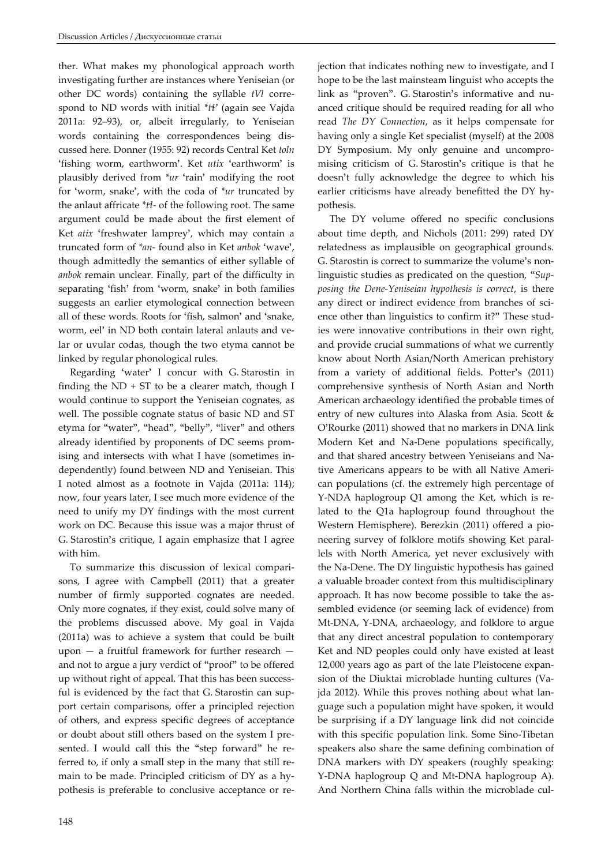ther. What makes my phonological approach worth investigating further are instances where Yeniseian (or other DC words) containing the syllable tVl correspond to ND words with initial \*t<sup>{'</sup>' (again see Vajda 2011a: 92–93), or, albeit irregularly, to Yeniseian words containing the correspondences being discussed here. Donner (1955: 92) records Central Ket toln 'fishing worm, earthworm'. Ket utix 'earthworm' is plausibly derived from \*ur 'rain' modifying the root for 'worm, snake', with the coda of \*ur truncated by the anlaut affricate  $*$ t $*$ - of the following root. The same argument could be made about the first element of Ket atix 'freshwater lamprey', which may contain a truncated form of \*an- found also in Ket anbok 'wave', though admittedly the semantics of either syllable of anbok remain unclear. Finally, part of the difficulty in separating 'fish' from 'worm, snake' in both families suggests an earlier etymological connection between all of these words. Roots for 'fish, salmon' and 'snake, worm, eel' in ND both contain lateral anlauts and velar or uvular codas, though the two etyma cannot be linked by regular phonological rules.

Regarding 'water' I concur with G. Starostin in finding the  $ND + ST$  to be a clearer match, though I would continue to support the Yeniseian cognates, as well. The possible cognate status of basic ND and ST etyma for "water", "head", "belly", "liver" and others already identified by proponents of DC seems promising and intersects with what I have (sometimes independently) found between ND and Yeniseian. This I noted almost as a footnote in Vajda (2011a: 114); now, four years later, I see much more evidence of the need to unify my DY findings with the most current work on DC. Because this issue was a major thrust of G. Starostin's critique, I again emphasize that I agree with him.

To summarize this discussion of lexical comparisons, I agree with Campbell (2011) that a greater number of firmly supported cognates are needed. Only more cognates, if they exist, could solve many of the problems discussed above. My goal in Vajda (2011a) was to achieve a system that could be built upon — a fruitful framework for further research and not to argue a jury verdict of "proof" to be offered up without right of appeal. That this has been successful is evidenced by the fact that G. Starostin can support certain comparisons, offer a principled rejection of others, and express specific degrees of acceptance or doubt about still others based on the system I presented. I would call this the "step forward" he referred to, if only a small step in the many that still remain to be made. Principled criticism of DY as a hypothesis is preferable to conclusive acceptance or rejection that indicates nothing new to investigate, and I hope to be the last mainsteam linguist who accepts the link as "proven". G. Starostin's informative and nuanced critique should be required reading for all who read The DY Connection, as it helps compensate for having only a single Ket specialist (myself) at the 2008 DY Symposium. My only genuine and uncompromising criticism of G. Starostin's critique is that he doesn't fully acknowledge the degree to which his earlier criticisms have already benefitted the DY hypothesis.

The DY volume offered no specific conclusions about time depth, and Nichols (2011: 299) rated DY relatedness as implausible on geographical grounds. G. Starostin is correct to summarize the volume's nonlinguistic studies as predicated on the question, "Supposing the Dene-Yeniseian hypothesis is correct, is there any direct or indirect evidence from branches of science other than linguistics to confirm it?" These studies were innovative contributions in their own right, and provide crucial summations of what we currently know about North Asian/North American prehistory from a variety of additional fields. Potter's (2011) comprehensive synthesis of North Asian and North American archaeology identified the probable times of entry of new cultures into Alaska from Asia. Scott & O'Rourke (2011) showed that no markers in DNA link Modern Ket and Na-Dene populations specifically, and that shared ancestry between Yeniseians and Native Americans appears to be with all Native American populations (cf. the extremely high percentage of Y-NDA haplogroup Q1 among the Ket, which is related to the Q1a haplogroup found throughout the Western Hemisphere). Berezkin (2011) offered a pioneering survey of folklore motifs showing Ket parallels with North America, yet never exclusively with the Na-Dene. The DY linguistic hypothesis has gained a valuable broader context from this multidisciplinary approach. It has now become possible to take the assembled evidence (or seeming lack of evidence) from Mt-DNA, Y-DNA, archaeology, and folklore to argue that any direct ancestral population to contemporary Ket and ND peoples could only have existed at least 12,000 years ago as part of the late Pleistocene expansion of the Diuktai microblade hunting cultures (Vajda 2012). While this proves nothing about what language such a population might have spoken, it would be surprising if a DY language link did not coincide with this specific population link. Some Sino-Tibetan speakers also share the same defining combination of DNA markers with DY speakers (roughly speaking: Y-DNA haplogroup Q and Mt-DNA haplogroup A). And Northern China falls within the microblade cul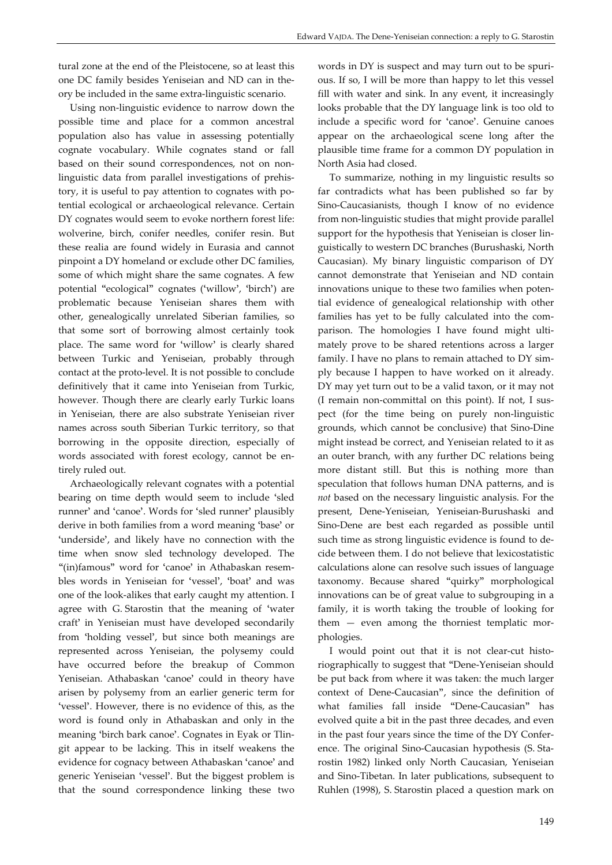tural zone at the end of the Pleistocene, so at least this one DC family besides Yeniseian and ND can in theory be included in the same extra-linguistic scenario.

Using non-linguistic evidence to narrow down the possible time and place for a common ancestral population also has value in assessing potentially cognate vocabulary. While cognates stand or fall based on their sound correspondences, not on nonlinguistic data from parallel investigations of prehistory, it is useful to pay attention to cognates with potential ecological or archaeological relevance. Certain DY cognates would seem to evoke northern forest life: wolverine, birch, conifer needles, conifer resin. But these realia are found widely in Eurasia and cannot pinpoint a DY homeland or exclude other DC families, some of which might share the same cognates. A few potential "ecological" cognates ('willow', 'birch') are problematic because Yeniseian shares them with other, genealogically unrelated Siberian families, so that some sort of borrowing almost certainly took place. The same word for 'willow' is clearly shared between Turkic and Yeniseian, probably through contact at the proto-level. It is not possible to conclude definitively that it came into Yeniseian from Turkic, however. Though there are clearly early Turkic loans in Yeniseian, there are also substrate Yeniseian river names across south Siberian Turkic territory, so that borrowing in the opposite direction, especially of words associated with forest ecology, cannot be entirely ruled out.

Archaeologically relevant cognates with a potential bearing on time depth would seem to include 'sled runner' and 'canoe'. Words for 'sled runner' plausibly derive in both families from a word meaning 'base' or 'underside', and likely have no connection with the time when snow sled technology developed. The "(in)famous" word for 'canoe' in Athabaskan resembles words in Yeniseian for 'vessel', 'boat' and was one of the look-alikes that early caught my attention. I agree with G. Starostin that the meaning of 'water craft' in Yeniseian must have developed secondarily from 'holding vessel', but since both meanings are represented across Yeniseian, the polysemy could have occurred before the breakup of Common Yeniseian. Athabaskan 'canoe' could in theory have arisen by polysemy from an earlier generic term for 'vessel'. However, there is no evidence of this, as the word is found only in Athabaskan and only in the meaning 'birch bark canoe'. Cognates in Eyak or Tlingit appear to be lacking. This in itself weakens the evidence for cognacy between Athabaskan 'canoe' and generic Yeniseian 'vessel'. But the biggest problem is that the sound correspondence linking these two words in DY is suspect and may turn out to be spurious. If so, I will be more than happy to let this vessel fill with water and sink. In any event, it increasingly looks probable that the DY language link is too old to include a specific word for 'canoe'. Genuine canoes appear on the archaeological scene long after the plausible time frame for a common DY population in North Asia had closed.

To summarize, nothing in my linguistic results so far contradicts what has been published so far by Sino-Caucasianists, though I know of no evidence from non-linguistic studies that might provide parallel support for the hypothesis that Yeniseian is closer linguistically to western DC branches (Burushaski, North Caucasian). My binary linguistic comparison of DY cannot demonstrate that Yeniseian and ND contain innovations unique to these two families when potential evidence of genealogical relationship with other families has yet to be fully calculated into the comparison. The homologies I have found might ultimately prove to be shared retentions across a larger family. I have no plans to remain attached to DY simply because I happen to have worked on it already. DY may yet turn out to be a valid taxon, or it may not (I remain non-committal on this point). If not, I suspect (for the time being on purely non-linguistic grounds, which cannot be conclusive) that Sino-Dine might instead be correct, and Yeniseian related to it as an outer branch, with any further DC relations being more distant still. But this is nothing more than speculation that follows human DNA patterns, and is not based on the necessary linguistic analysis. For the present, Dene-Yeniseian, Yeniseian-Burushaski and Sino-Dene are best each regarded as possible until such time as strong linguistic evidence is found to decide between them. I do not believe that lexicostatistic calculations alone can resolve such issues of language taxonomy. Because shared "quirky" morphological innovations can be of great value to subgrouping in a family, it is worth taking the trouble of looking for them — even among the thorniest templatic morphologies.

I would point out that it is not clear-cut historiographically to suggest that "Dene-Yeniseian should be put back from where it was taken: the much larger context of Dene-Caucasian", since the definition of what families fall inside "Dene-Caucasian" has evolved quite a bit in the past three decades, and even in the past four years since the time of the DY Conference. The original Sino-Caucasian hypothesis (S. Starostin 1982) linked only North Caucasian, Yeniseian and Sino-Tibetan. In later publications, subsequent to Ruhlen (1998), S. Starostin placed a question mark on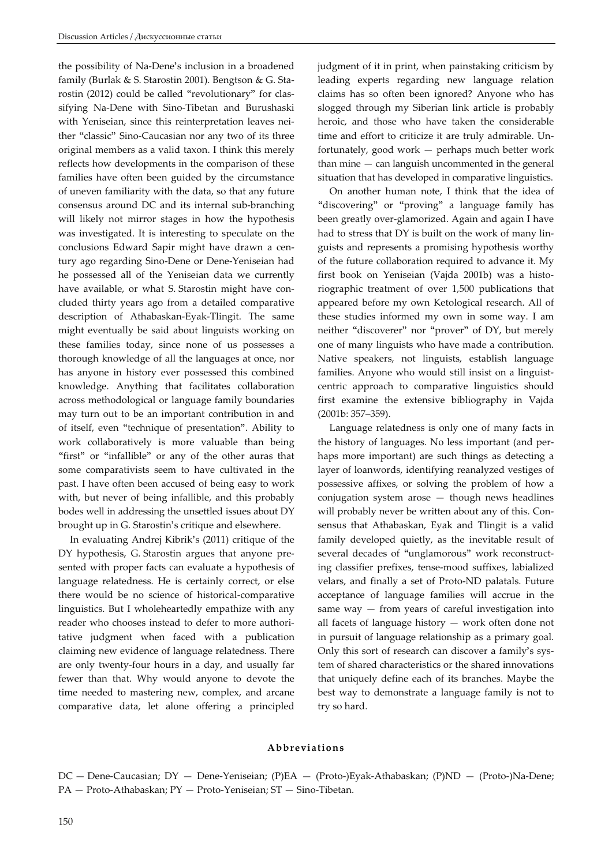the possibility of Na-Dene's inclusion in a broadened family (Burlak & S. Starostin 2001). Bengtson & G. Starostin (2012) could be called "revolutionary" for classifying Na-Dene with Sino-Tibetan and Burushaski with Yeniseian, since this reinterpretation leaves neither "classic" Sino-Caucasian nor any two of its three original members as a valid taxon. I think this merely reflects how developments in the comparison of these families have often been guided by the circumstance of uneven familiarity with the data, so that any future consensus around DC and its internal sub-branching will likely not mirror stages in how the hypothesis was investigated. It is interesting to speculate on the conclusions Edward Sapir might have drawn a century ago regarding Sino-Dene or Dene-Yeniseian had he possessed all of the Yeniseian data we currently have available, or what S. Starostin might have concluded thirty years ago from a detailed comparative description of Athabaskan-Eyak-Tlingit. The same might eventually be said about linguists working on these families today, since none of us possesses a thorough knowledge of all the languages at once, nor has anyone in history ever possessed this combined knowledge. Anything that facilitates collaboration across methodological or language family boundaries may turn out to be an important contribution in and of itself, even "technique of presentation". Ability to work collaboratively is more valuable than being "first" or "infallible" or any of the other auras that some comparativists seem to have cultivated in the past. I have often been accused of being easy to work with, but never of being infallible, and this probably bodes well in addressing the unsettled issues about DY brought up in G. Starostin's critique and elsewhere.

In evaluating Andrej Kibrik's (2011) critique of the DY hypothesis, G. Starostin argues that anyone presented with proper facts can evaluate a hypothesis of language relatedness. He is certainly correct, or else there would be no science of historical-comparative linguistics. But I wholeheartedly empathize with any reader who chooses instead to defer to more authoritative judgment when faced with a publication claiming new evidence of language relatedness. There are only twenty-four hours in a day, and usually far fewer than that. Why would anyone to devote the time needed to mastering new, complex, and arcane comparative data, let alone offering a principled judgment of it in print, when painstaking criticism by leading experts regarding new language relation claims has so often been ignored? Anyone who has slogged through my Siberian link article is probably heroic, and those who have taken the considerable time and effort to criticize it are truly admirable. Unfortunately, good work — perhaps much better work than mine — can languish uncommented in the general situation that has developed in comparative linguistics.

On another human note, I think that the idea of "discovering" or "proving" a language family has been greatly over-glamorized. Again and again I have had to stress that DY is built on the work of many linguists and represents a promising hypothesis worthy of the future collaboration required to advance it. My first book on Yeniseian (Vajda 2001b) was a historiographic treatment of over 1,500 publications that appeared before my own Ketological research. All of these studies informed my own in some way. I am neither "discoverer" nor "prover" of DY, but merely one of many linguists who have made a contribution. Native speakers, not linguists, establish language families. Anyone who would still insist on a linguistcentric approach to comparative linguistics should first examine the extensive bibliography in Vajda (2001b: 357–359).

Language relatedness is only one of many facts in the history of languages. No less important (and perhaps more important) are such things as detecting a layer of loanwords, identifying reanalyzed vestiges of possessive affixes, or solving the problem of how a conjugation system arose — though news headlines will probably never be written about any of this. Consensus that Athabaskan, Eyak and Tlingit is a valid family developed quietly, as the inevitable result of several decades of "unglamorous" work reconstructing classifier prefixes, tense-mood suffixes, labialized velars, and finally a set of Proto-ND palatals. Future acceptance of language families will accrue in the same way — from years of careful investigation into all facets of language history — work often done not in pursuit of language relationship as a primary goal. Only this sort of research can discover a family's system of shared characteristics or the shared innovations that uniquely define each of its branches. Maybe the best way to demonstrate a language family is not to try so hard.

#### Abbreviations

DC — Dene-Caucasian; DY — Dene-Yeniseian; (P)EA — (Proto)Eyak-Athabaskan; (P)ND — (Proto)Na-Dene; PA — Proto-Athabaskan; PY — Proto-Yeniseian; ST — Sino-Tibetan.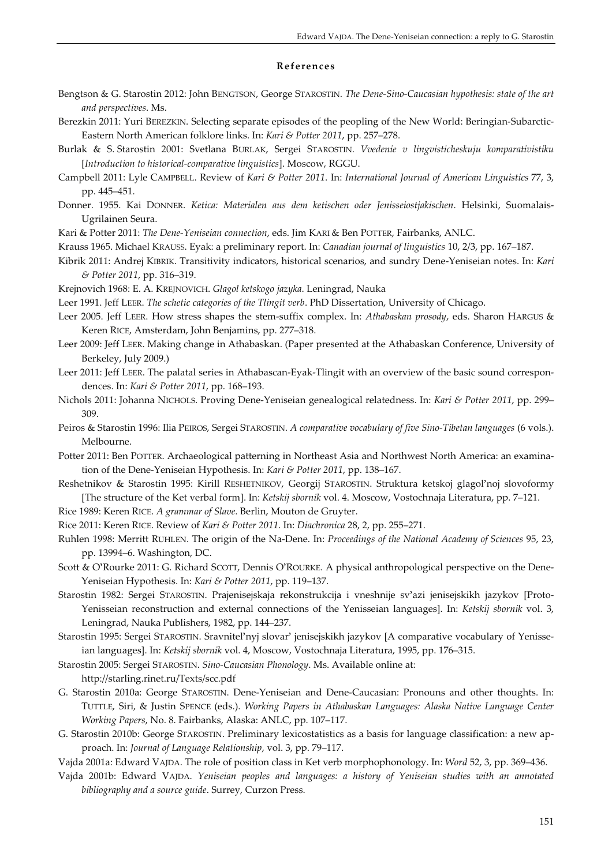#### References

- Bengtson & G. Starostin 2012: John BENGTSON, George STAROSTIN. The Dene-Sino-Caucasian hypothesis: state of the art and perspectives. Ms.
- Berezkin 2011: Yuri BEREZKIN. Selecting separate episodes of the peopling of the New World: Beringian-Subarctic-Eastern North American folklore links. In: Kari & Potter 2011, pp. 257–278.
- Burlak & S. Starostin 2001: Svetlana BURLAK, Sergei STAROSTIN. Vvedenie v lingvisticheskuju komparativistiku [Introduction to historical-comparative linguistics]. Moscow, RGGU.
- Campbell 2011: Lyle CAMPBELL. Review of Kari & Potter 2011. In: International Journal of American Linguistics 77, 3, pp. 445–451.
- Donner. 1955. Kai DONNER. Ketica: Materialen aus dem ketischen oder Jenisseiostjakischen. Helsinki, Suomalais-Ugrilainen Seura.
- Kari & Potter 2011: The Dene-Yeniseian connection, eds. Jim KARI & Ben POTTER, Fairbanks, ANLC.
- Krauss 1965. Michael KRAUSS. Eyak: a preliminary report. In: Canadian journal of linguistics 10, 2/3, pp. 167–187.
- Kibrik 2011: Andrej KIBRIK. Transitivity indicators, historical scenarios, and sundry Dene-Yeniseian notes. In: Kari & Potter 2011, pp. 316–319.
- Krejnovich 1968: E. A. KREJNOVICH. Glagol ketskogo jazyka. Leningrad, Nauka
- Leer 1991. Jeff LEER. The schetic categories of the Tlingit verb. PhD Dissertation, University of Chicago.
- Leer 2005. Jeff LEER. How stress shapes the stem-suffix complex. In: Athabaskan prosody, eds. Sharon HARGUS & Keren RICE, Amsterdam, John Benjamins, pp. 277–318.
- Leer 2009: Jeff LEER. Making change in Athabaskan. (Paper presented at the Athabaskan Conference, University of Berkeley, July 2009.)
- Leer 2011: Jeff LEER. The palatal series in Athabascan-Eyak-Tlingit with an overview of the basic sound correspondences. In: Kari & Potter 2011, pp. 168-193.
- Nichols 2011: Johanna NICHOLS. Proving Dene-Yeniseian genealogical relatedness. In: Kari & Potter 2011, pp. 299– 309.
- Peiros & Starostin 1996: Ilia PEIROS, Sergei STAROSTIN. A comparative vocabulary of five Sino-Tibetan languages (6 vols.). Melbourne.
- Potter 2011: Ben POTTER. Archaeological patterning in Northeast Asia and Northwest North America: an examination of the Dene-Yeniseian Hypothesis. In: Kari & Potter 2011, pp. 138–167.
- Reshetnikov & Starostin 1995: Kirill RESHETNIKOV, Georgij STAROSTIN. Struktura ketskoj glagol'noj slovoformy [The structure of the Ket verbal form]. In: Ketskij sbornik vol. 4. Moscow, Vostochnaja Literatura, pp. 7–121.
- Rice 1989: Keren RICE. A grammar of Slave. Berlin, Mouton de Gruyter.
- Rice 2011: Keren RICE. Review of Kari & Potter 2011. In: Diachronica 28, 2, pp. 255–271.
- Ruhlen 1998: Merritt RUHLEN. The origin of the Na-Dene. In: Proceedings of the National Academy of Sciences 95, 23, pp. 13994–6. Washington, DC.
- Scott & O'Rourke 2011: G. Richard SCOTT, Dennis O'ROURKE. A physical anthropological perspective on the Dene-Yeniseian Hypothesis. In: Kari & Potter 2011, pp. 119–137.
- Starostin 1982: Sergei STAROSTIN. Prajenisejskaja rekonstrukcija i vneshnije sv'azi jenisejskikh jazykov [Proto-Yenisseian reconstruction and external connections of the Yenisseian languages]. In: Ketskij sbornik vol. 3, Leningrad, Nauka Publishers, 1982, pp. 144–237.
- Starostin 1995: Sergei STAROSTIN. Sravnitel'nyj slovar' jenisejskikh jazykov [A comparative vocabulary of Yenisseian languages]. In: Ketskij sbornik vol. 4, Moscow, Vostochnaja Literatura, 1995, pp. 176–315.
- Starostin 2005: Sergei STAROSTIN. Sino-Caucasian Phonology. Ms. Available online at: http://starling.rinet.ru/Texts/scc.pdf
- G. Starostin 2010a: George STAROSTIN. Dene-Yeniseian and Dene-Caucasian: Pronouns and other thoughts. In: TUTTLE, Siri, & Justin SPENCE (eds.). Working Papers in Athabaskan Languages: Alaska Native Language Center Working Papers, No. 8. Fairbanks, Alaska: ANLC, pp. 107–117.
- G. Starostin 2010b: George STAROSTIN. Preliminary lexicostatistics as a basis for language classification: a new approach. In: Journal of Language Relationship, vol. 3, pp. 79–117.
- Vajda 2001a: Edward VAJDA. The role of position class in Ket verb morphophonology. In: Word 52, 3, pp. 369–436.
- Vajda 2001b: Edward VAJDA. Yeniseian peoples and languages: a history of Yeniseian studies with an annotated bibliography and a source guide. Surrey, Curzon Press.